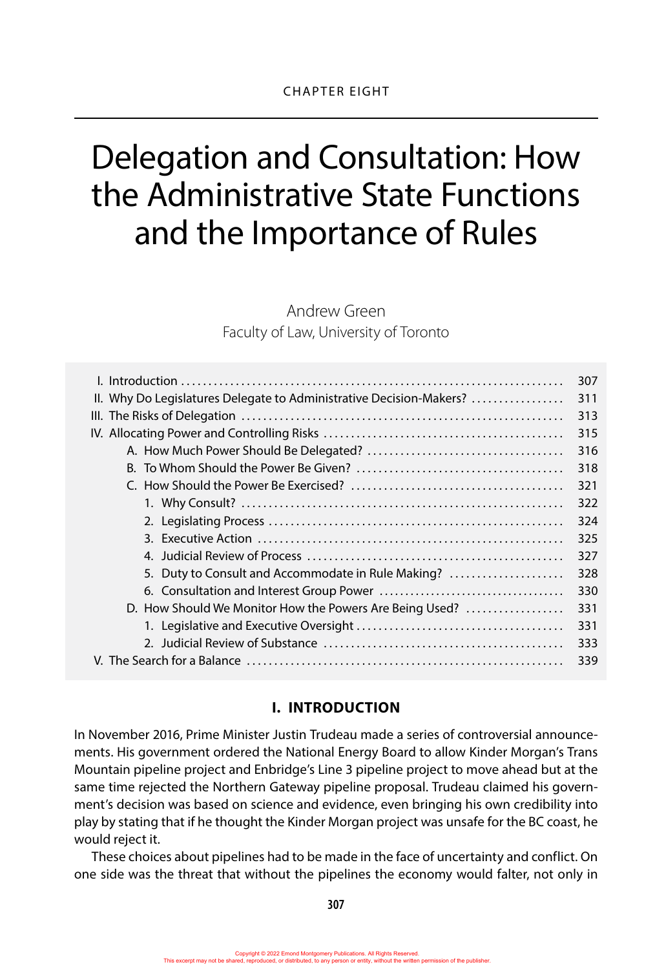# Delegation and Consultation: How the Administrative State Functions and the Importance of Rules

Andrew Green Faculty of Law, University of Toronto

|                                                                     | 307 |
|---------------------------------------------------------------------|-----|
| II. Why Do Legislatures Delegate to Administrative Decision-Makers? | 311 |
|                                                                     | 313 |
|                                                                     | 315 |
|                                                                     | 316 |
|                                                                     | 318 |
|                                                                     | 321 |
|                                                                     | 322 |
|                                                                     | 324 |
|                                                                     | 325 |
|                                                                     | 327 |
| 5. Duty to Consult and Accommodate in Rule Making?                  | 328 |
|                                                                     | 330 |
| D. How Should We Monitor How the Powers Are Being Used?             | 331 |
|                                                                     | 331 |
|                                                                     | 333 |
|                                                                     | 339 |
|                                                                     |     |

# **I. INTRODUCTION**

In November 2016, Prime Minister Justin Trudeau made a series of controversial announcements. His government ordered the National Energy Board to allow Kinder Morgan's Trans Mountain pipeline project and Enbridge's Line 3 pipeline project to move ahead but at the same time rejected the Northern Gateway pipeline proposal. Trudeau claimed his government's decision was based on science and evidence, even bringing his own credibility into play by stating that if he thought the Kinder Morgan project was unsafe for the BC coast, he would reject it.

These choices about pipelines had to be made in the face of uncertainty and conflict. On one side was the threat that without the pipelines the economy would falter, not only in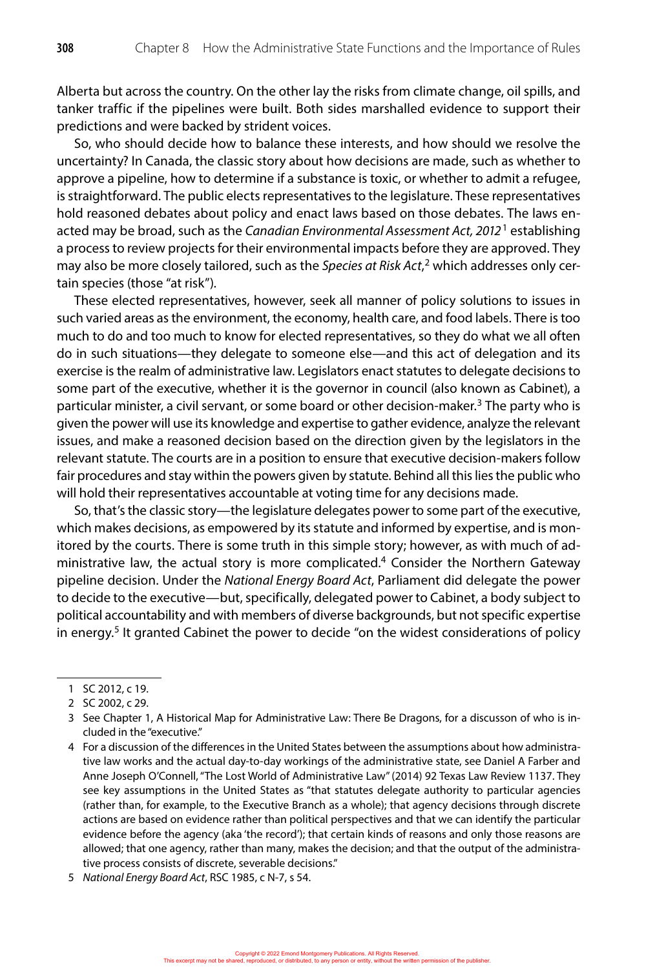Alberta but across the country. On the other lay the risks from climate change, oil spills, and tanker traffic if the pipelines were built. Both sides marshalled evidence to support their predictions and were backed by strident voices.

So, who should decide how to balance these interests, and how should we resolve the uncertainty? In Canada, the classic story about how decisions are made, such as whether to approve a pipeline, how to determine if a substance is toxic, or whether to admit a refugee, is straightforward. The public elects representatives to the legislature. These representatives hold reasoned debates about policy and enact laws based on those debates. The laws enacted may be broad, such as the *Canadian Environmental Assessment Act, 2012* 1 establishing a process to review projects for their environmental impacts before they are approved. They may also be more closely tailored, such as the *Species at Risk Act*, 2 which addresses only certain species (those "at risk").

These elected representatives, however, seek all manner of policy solutions to issues in such varied areas as the environment, the economy, health care, and food labels. There is too much to do and too much to know for elected representatives, so they do what we all often do in such situations—they delegate to someone else—and this act of delegation and its exercise is the realm of administrative law. Legislators enact statutes to delegate decisions to some part of the executive, whether it is the governor in council (also known as Cabinet), a particular minister, a civil servant, or some board or other decision-maker.<sup>3</sup> The party who is given the power will use its knowledge and expertise to gather evidence, analyze the relevant issues, and make a reasoned decision based on the direction given by the legislators in the relevant statute. The courts are in a position to ensure that executive decision-makers follow fair procedures and stay within the powers given by statute. Behind all this lies the public who will hold their representatives accountable at voting time for any decisions made.

So, that's the classic story—the legislature delegates power to some part of the executive, which makes decisions, as empowered by its statute and informed by expertise, and is monitored by the courts. There is some truth in this simple story; however, as with much of administrative law, the actual story is more complicated.<sup>4</sup> Consider the Northern Gateway pipeline decision. Under the *National Energy Board Act*, Parliament did delegate the power to decide to the executive—but, specifically, delegated power to Cabinet, a body subject to political accountability and with members of diverse backgrounds, but not specific expertise in energy.<sup>5</sup> It granted Cabinet the power to decide "on the widest considerations of policy

<sup>1</sup> SC 2012, c 19.

<sup>2</sup> SC 2002, c 29.

<sup>3</sup> See Chapter 1, A Historical Map for Administrative Law: There Be Dragons, for a discusson of who is included in the "executive."

<sup>4</sup> For a discussion of the differences in the United States between the assumptions about how administrative law works and the actual day-to-day workings of the administrative state, see Daniel A Farber and Anne Joseph O'Connell, "The Lost World of Administrative Law" (2014) 92 Texas Law Review 1137. They see key assumptions in the United States as "that statutes delegate authority to particular agencies (rather than, for example, to the Executive Branch as a whole); that agency decisions through discrete actions are based on evidence rather than political perspectives and that we can identify the particular evidence before the agency (aka 'the record'); that certain kinds of reasons and only those reasons are allowed; that one agency, rather than many, makes the decision; and that the output of the administrative process consists of discrete, severable decisions."

<sup>5</sup> *National Energy Board Act*, RSC 1985, c N-7, s 54.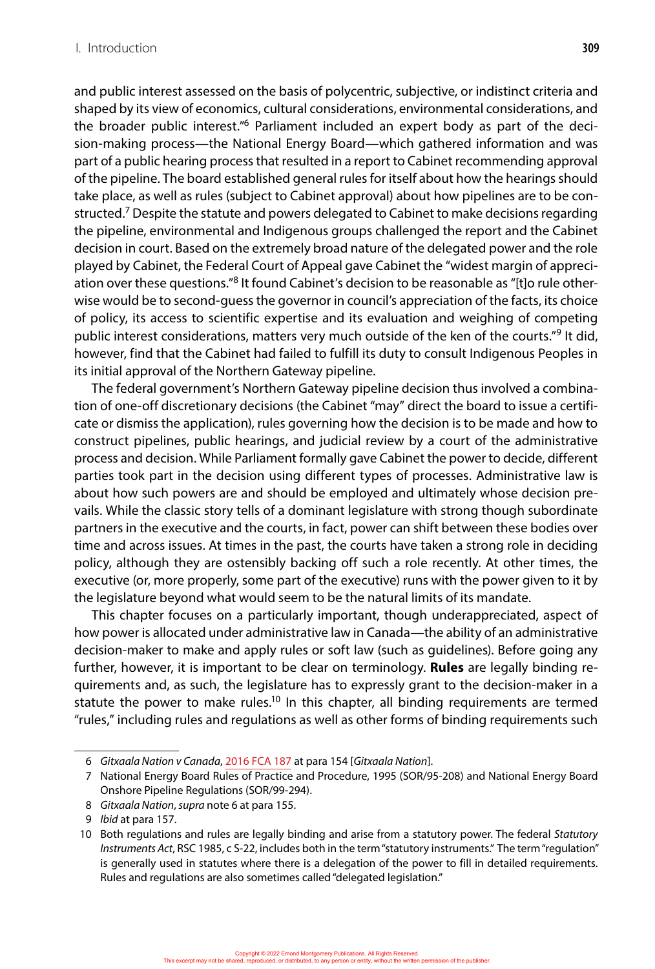and public interest assessed on the basis of polycentric, subjective, or indistinct criteria and shaped by its view of economics, cultural considerations, environmental considerations, and the broader public interest."6 Parliament included an expert body as part of the decision-making process—the National Energy Board—which gathered information and was part of a public hearing process that resulted in a report to Cabinet recommending approval of the pipeline. The board established general rules for itself about how the hearings should take place, as well as rules (subject to Cabinet approval) about how pipelines are to be constructed.<sup>7</sup> Despite the statute and powers delegated to Cabinet to make decisions regarding the pipeline, environmental and Indigenous groups challenged the report and the Cabinet decision in court. Based on the extremely broad nature of the delegated power and the role played by Cabinet, the Federal Court of Appeal gave Cabinet the "widest margin of appreciation over these questions."<sup>8</sup> It found Cabinet's decision to be reasonable as "[t]o rule otherwise would be to second-guess the governor in council's appreciation of the facts, its choice of policy, its access to scientific expertise and its evaluation and weighing of competing public interest considerations, matters very much outside of the ken of the courts."9 It did, however, find that the Cabinet had failed to fulfill its duty to consult Indigenous Peoples in its initial approval of the Northern Gateway pipeline.

The federal government's Northern Gateway pipeline decision thus involved a combination of one-off discretionary decisions (the Cabinet "may" direct the board to issue a certificate or dismiss the application), rules governing how the decision is to be made and how to construct pipelines, public hearings, and judicial review by a court of the administrative process and decision. While Parliament formally gave Cabinet the power to decide, different parties took part in the decision using different types of processes. Administrative law is about how such powers are and should be employed and ultimately whose decision prevails. While the classic story tells of a dominant legislature with strong though subordinate partners in the executive and the courts, in fact, power can shift between these bodies over time and across issues. At times in the past, the courts have taken a strong role in deciding policy, although they are ostensibly backing off such a role recently. At other times, the executive (or, more properly, some part of the executive) runs with the power given to it by the legislature beyond what would seem to be the natural limits of its mandate.

This chapter focuses on a particularly important, though underappreciated, aspect of how power is allocated under administrative law in Canada—the ability of an administrative decision-maker to make and apply rules or soft law (such as guidelines). Before going any further, however, it is important to be clear on terminology. **Rules** are legally binding requirements and, as such, the legislature has to expressly grant to the decision-maker in a statute the power to make rules.<sup>10</sup> In this chapter, all binding requirements are termed "rules," including rules and regulations as well as other forms of binding requirements such

<sup>6</sup> *Gitxaala Nation v Canada*, [2016 FCA 187](https://www.canlii.org/en/ca/fca/doc/2016/2016fca187/2016fca187.html?autocompleteStr=Gitxaala Nation v Canada&autocompletePos=1) at para 154 [*Gitxaala Nation*].

<sup>7</sup> National Energy Board Rules of Practice and Procedure, 1995 (SOR/95-208) and National Energy Board Onshore Pipeline Regulations (SOR/99-294).

<sup>8</sup> *Gitxaala Nation*, *supra* note 6 at para 155.

<sup>9</sup> *Ibid* at para 157.

<sup>10</sup> Both regulations and rules are legally binding and arise from a statutory power. The federal *Statutory Instruments Act*, RSC 1985, c S-22, includes both in the term "statutory instruments." The term "regulation" is generally used in statutes where there is a delegation of the power to fill in detailed requirements. Rules and regulations are also sometimes called "delegated legislation."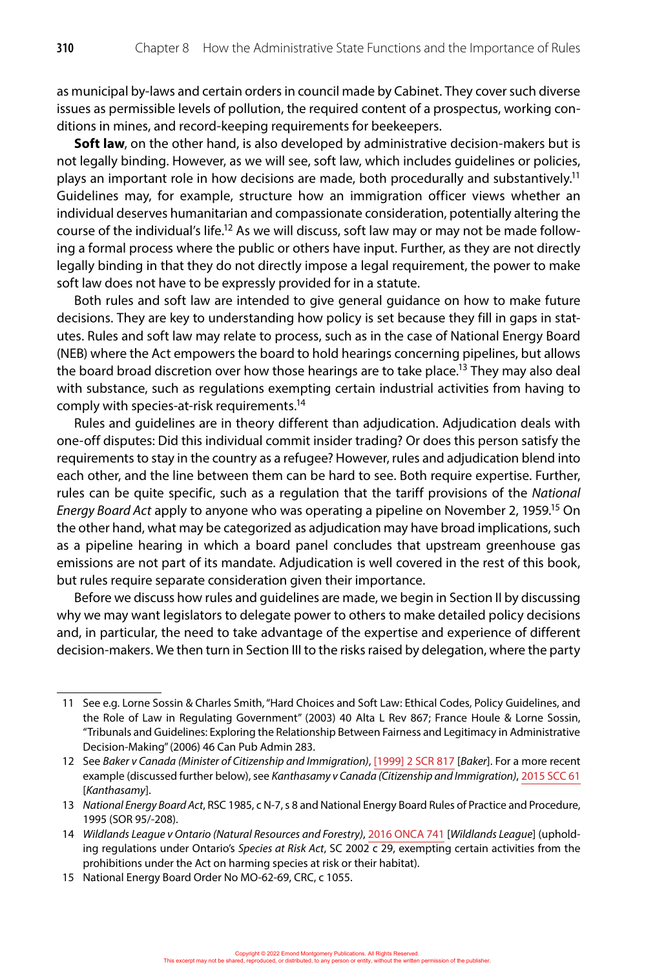as municipal by-laws and certain orders in council made by Cabinet. They cover such diverse issues as permissible levels of pollution, the required content of a prospectus, working conditions in mines, and record-keeping requirements for beekeepers.

**Soft law**, on the other hand, is also developed by administrative decision-makers but is not legally binding. However, as we will see, soft law, which includes guidelines or policies, plays an important role in how decisions are made, both procedurally and substantively.<sup>11</sup> Guidelines may, for example, structure how an immigration officer views whether an individual deserves humanitarian and compassionate consideration, potentially altering the course of the individual's life.12 As we will discuss, soft law may or may not be made following a formal process where the public or others have input. Further, as they are not directly legally binding in that they do not directly impose a legal requirement, the power to make soft law does not have to be expressly provided for in a statute.

Both rules and soft law are intended to give general guidance on how to make future decisions. They are key to understanding how policy is set because they fill in gaps in statutes. Rules and soft law may relate to process, such as in the case of National Energy Board (NEB) where the Act empowers the board to hold hearings concerning pipelines, but allows the board broad discretion over how those hearings are to take place.<sup>13</sup> They may also deal with substance, such as regulations exempting certain industrial activities from having to comply with species-at-risk requirements.14

Rules and guidelines are in theory different than adjudication. Adjudication deals with one-off disputes: Did this individual commit insider trading? Or does this person satisfy the requirements to stay in the country as a refugee? However, rules and adjudication blend into each other, and the line between them can be hard to see. Both require expertise. Further, rules can be quite specific, such as a regulation that the tariff provisions of the *National Energy Board Act* apply to anyone who was operating a pipeline on November 2, 1959.15 On the other hand, what may be categorized as adjudication may have broad implications, such as a pipeline hearing in which a board panel concludes that upstream greenhouse gas emissions are not part of its mandate. Adjudication is well covered in the rest of this book, but rules require separate consideration given their importance.

Before we discuss how rules and guidelines are made, we begin in Section II by discussing why we may want legislators to delegate power to others to make detailed policy decisions and, in particular, the need to take advantage of the expertise and experience of different decision-makers. We then turn in Section III to the risks raised by delegation, where the party

<sup>11</sup> See e.g. Lorne Sossin & Charles Smith, "Hard Choices and Soft Law: Ethical Codes, Policy Guidelines, and the Role of Law in Regulating Government" (2003) 40 Alta L Rev 867; France Houle & Lorne Sossin, "Tribunals and Guidelines: Exploring the Relationship Between Fairness and Legitimacy in Administrative Decision-Making" (2006) 46 Can Pub Admin 283.

<sup>12</sup> See *Baker v Canada (Minister of Citizenship and Immigration)*, [\[1999\] 2 SCR 817](https://www.canlii.org/en/ca/scc/doc/1999/1999canlii699/1999canlii699.html?autocompleteStr= Baker v Canada (Minister of Citizenship and Immigration)%2C %5B1999%5D 2 SCR 817. &autocompletePos=1) [*Baker*]. For a more recent example (discussed further below), see *Kanthasamy v Canada (Citizenship and Immigration)*, [2015 SCC 61](https://www.canlii.org/en/ca/scc/doc/2015/2015scc61/2015scc61.html?autocompleteStr=Kanthasamy v Canada &autocompletePos=1) [*Kanthasamy*].

<sup>13</sup> *National Energy Board Act*, RSC 1985, c N-7, s 8 and National Energy Board Rules of Practice and Procedure, 1995 (SOR 95/-208).

<sup>14</sup> *Wildlands League v Ontario (Natural Resources and Forestry)*, [2016 ONCA 741](https://www.canlii.org/en/on/onca/doc/2016/2016onca741/2016onca741.html?autocompleteStr=Wildlands League v Ontario &autocompletePos=2) [*Wildlands League*] (upholding regulations under Ontario's *Species at Risk Act*, SC 2002 c 29, exempting certain activities from the prohibitions under the Act on harming species at risk or their habitat).

<sup>15</sup> National Energy Board Order No MO-62-69, CRC, c 1055.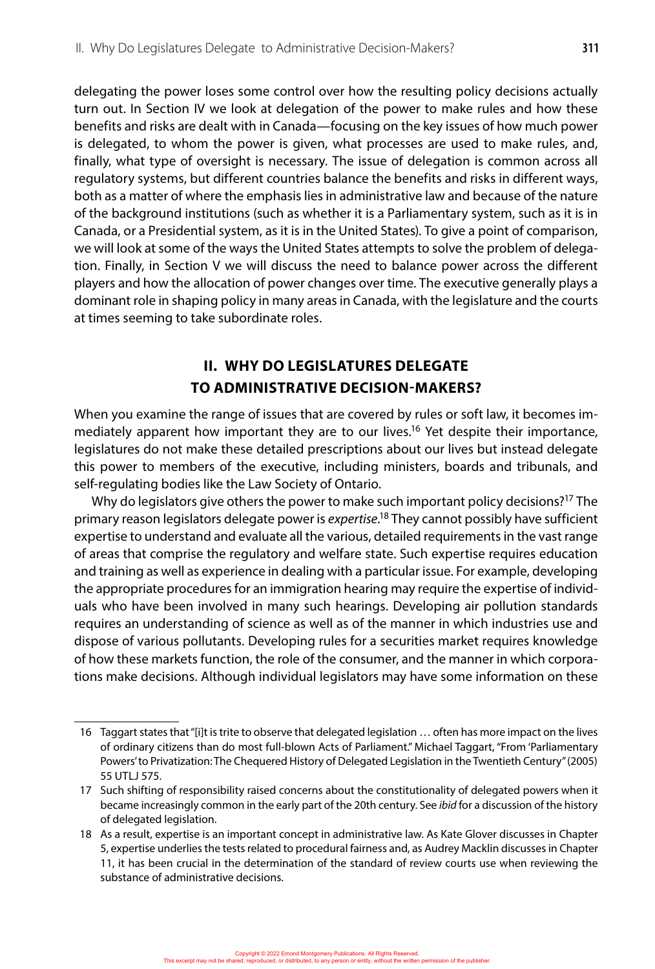delegating the power loses some control over how the resulting policy decisions actually turn out. In Section IV we look at delegation of the power to make rules and how these benefits and risks are dealt with in Canada—focusing on the key issues of how much power is delegated, to whom the power is given, what processes are used to make rules, and, finally, what type of oversight is necessary. The issue of delegation is common across all regulatory systems, but different countries balance the benefits and risks in different ways, both as a matter of where the emphasis lies in administrative law and because of the nature of the background institutions (such as whether it is a Parliamentary system, such as it is in Canada, or a Presidential system, as it is in the United States). To give a point of comparison, we will look at some of the ways the United States attempts to solve the problem of delegation. Finally, in Section V we will discuss the need to balance power across the different players and how the allocation of power changes over time. The executive generally plays a dominant role in shaping policy in many areas in Canada, with the legislature and the courts at times seeming to take subordinate roles.

# **II. WHY DO LEGISLATURES DELEGATE TO ADMINISTRATIVE DECISION-MAKERS?**

When you examine the range of issues that are covered by rules or soft law, it becomes immediately apparent how important they are to our lives.<sup>16</sup> Yet despite their importance, legislatures do not make these detailed prescriptions about our lives but instead delegate this power to members of the executive, including ministers, boards and tribunals, and self-regulating bodies like the Law Society of Ontario.

Why do legislators give others the power to make such important policy decisions?<sup>17</sup> The primary reason legislators delegate power is *expertise*. 18 They cannot possibly have sufficient expertise to understand and evaluate all the various, detailed requirements in the vast range of areas that comprise the regulatory and welfare state. Such expertise requires education and training as well as experience in dealing with a particular issue. For example, developing the appropriate procedures for an immigration hearing may require the expertise of individuals who have been involved in many such hearings. Developing air pollution standards requires an understanding of science as well as of the manner in which industries use and dispose of various pollutants. Developing rules for a securities market requires knowledge of how these markets function, the role of the consumer, and the manner in which corporations make decisions. Although individual legislators may have some information on these

<sup>16</sup> Taggart states that "[i]t is trite to observe that delegated legislation … often has more impact on the lives of ordinary citizens than do most full-blown Acts of Parliament." Michael Taggart, "From 'Parliamentary Powers' to Privatization: The Chequered History of Delegated Legislation in the Twentieth Century" (2005) 55 UTLJ 575.

<sup>17</sup> Such shifting of responsibility raised concerns about the constitutionality of delegated powers when it became increasingly common in the early part of the 20th century. See *ibid* for a discussion of the history of delegated legislation.

<sup>18</sup> As a result, expertise is an important concept in administrative law. As Kate Glover discusses in Chapter 5, expertise underlies the tests related to procedural fairness and, as Audrey Macklin discusses in Chapter 11, it has been crucial in the determination of the standard of review courts use when reviewing the substance of administrative decisions.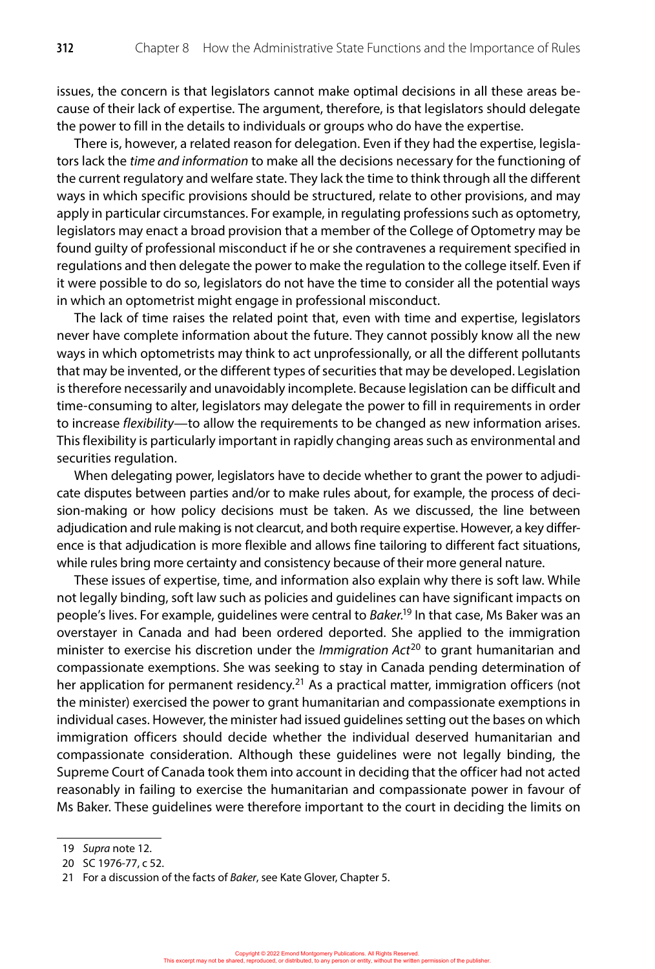issues, the concern is that legislators cannot make optimal decisions in all these areas because of their lack of expertise. The argument, therefore, is that legislators should delegate the power to fill in the details to individuals or groups who do have the expertise.

There is, however, a related reason for delegation. Even if they had the expertise, legislators lack the *time and information* to make all the decisions necessary for the functioning of the current regulatory and welfare state. They lack the time to think through all the different ways in which specific provisions should be structured, relate to other provisions, and may apply in particular circumstances. For example, in regulating professions such as optometry, legislators may enact a broad provision that a member of the College of Optometry may be found guilty of professional misconduct if he or she contravenes a requirement specified in regulations and then delegate the power to make the regulation to the college itself. Even if it were possible to do so, legislators do not have the time to consider all the potential ways in which an optometrist might engage in professional misconduct.

The lack of time raises the related point that, even with time and expertise, legislators never have complete information about the future. They cannot possibly know all the new ways in which optometrists may think to act unprofessionally, or all the different pollutants that may be invented, or the different types of securities that may be developed. Legislation is therefore necessarily and unavoidably incomplete. Because legislation can be difficult and time-consuming to alter, legislators may delegate the power to fill in requirements in order to increase *flexibility*—to allow the requirements to be changed as new information arises. This flexibility is particularly important in rapidly changing areas such as environmental and securities regulation.

When delegating power, legislators have to decide whether to grant the power to adjudicate disputes between parties and/or to make rules about, for example, the process of decision-making or how policy decisions must be taken. As we discussed, the line between adjudication and rule making is not clearcut, and both require expertise. However, a key difference is that adjudication is more flexible and allows fine tailoring to different fact situations, while rules bring more certainty and consistency because of their more general nature.

These issues of expertise, time, and information also explain why there is soft law. While not legally binding, soft law such as policies and guidelines can have significant impacts on people's lives. For example, guidelines were central to *Baker*. 19 In that case, Ms Baker was an overstayer in Canada and had been ordered deported. She applied to the immigration minister to exercise his discretion under the *Immigration Act*20 to grant humanitarian and compassionate exemptions. She was seeking to stay in Canada pending determination of her application for permanent residency.<sup>21</sup> As a practical matter, immigration officers (not the minister) exercised the power to grant humanitarian and compassionate exemptions in individual cases. However, the minister had issued guidelines setting out the bases on which immigration officers should decide whether the individual deserved humanitarian and compassionate consideration. Although these guidelines were not legally binding, the Supreme Court of Canada took them into account in deciding that the officer had not acted reasonably in failing to exercise the humanitarian and compassionate power in favour of Ms Baker. These guidelines were therefore important to the court in deciding the limits on

<sup>19</sup> *Supra* note 12.

<sup>20</sup> SC 1976-77, c 52.

<sup>21</sup> For a discussion of the facts of *Baker*, see Kate Glover, Chapter 5.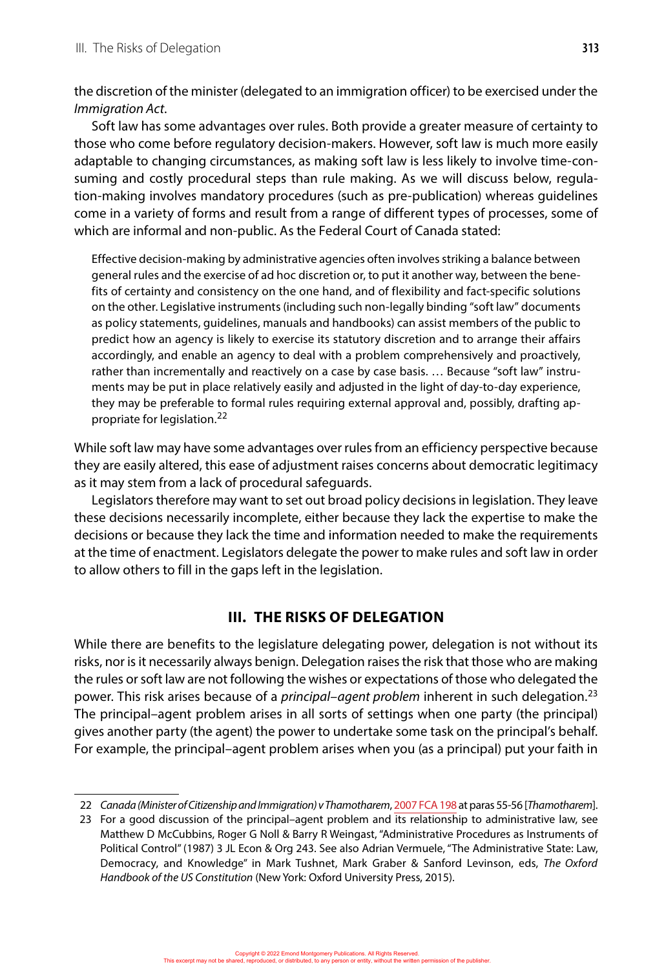the discretion of the minister (delegated to an immigration officer) to be exercised under the *Immigration Act*.

Soft law has some advantages over rules. Both provide a greater measure of certainty to those who come before regulatory decision-makers. However, soft law is much more easily adaptable to changing circumstances, as making soft law is less likely to involve time-consuming and costly procedural steps than rule making. As we will discuss below, regulation-making involves mandatory procedures (such as pre-publication) whereas guidelines come in a variety of forms and result from a range of different types of processes, some of which are informal and non-public. As the Federal Court of Canada stated:

Effective decision-making by administrative agencies often involves striking a balance between general rules and the exercise of ad hoc discretion or, to put it another way, between the benefits of certainty and consistency on the one hand, and of flexibility and fact-specific solutions on the other. Legislative instruments (including such non-legally binding "soft law" documents as policy statements, guidelines, manuals and handbooks) can assist members of the public to predict how an agency is likely to exercise its statutory discretion and to arrange their affairs accordingly, and enable an agency to deal with a problem comprehensively and proactively, rather than incrementally and reactively on a case by case basis. ... Because "soft law" instruments may be put in place relatively easily and adjusted in the light of day-to-day experience, they may be preferable to formal rules requiring external approval and, possibly, drafting appropriate for legislation.<sup>22</sup>

While soft law may have some advantages over rules from an efficiency perspective because they are easily altered, this ease of adjustment raises concerns about democratic legitimacy as it may stem from a lack of procedural safeguards.

Legislators therefore may want to set out broad policy decisions in legislation. They leave these decisions necessarily incomplete, either because they lack the expertise to make the decisions or because they lack the time and information needed to make the requirements at the time of enactment. Legislators delegate the power to make rules and soft law in order to allow others to fill in the gaps left in the legislation.

# **III. THE RISKS OF DELEGATION**

While there are benefits to the legislature delegating power, delegation is not without its risks, nor is it necessarily always benign. Delegation raises the risk that those who are making the rules or soft law are not following the wishes or expectations of those who delegated the power. This risk arises because of a *principal–agent problem* inherent in such delegation.23 The principal–agent problem arises in all sorts of settings when one party (the principal) gives another party (the agent) the power to undertake some task on the principal's behalf. For example, the principal–agent problem arises when you (as a principal) put your faith in

<sup>22</sup> *Canada (Minister of Citizenship and Immigration) v Thamotharem*, [2007 FCA 198](https://www.canlii.org/en/ca/fca/doc/2007/2007fca198/2007fca198.html?autocompleteStr=Canada (Minister of Citizenship and Immigration) v Thamotharem%2C 2007 FCA 198 &autocompletePos=1) at paras 55-56 [*Thamotharem*].

<sup>23</sup> For a good discussion of the principal–agent problem and its relationship to administrative law, see Matthew D McCubbins, Roger G Noll & Barry R Weingast, "Administrative Procedures as Instruments of Political Control" (1987) 3 JL Econ & Org 243. See also Adrian Vermuele, "The Administrative State: Law, Democracy, and Knowledge" in Mark Tushnet, Mark Graber & Sanford Levinson, eds, *The Oxford Handbook of the US Constitution* (New York: Oxford University Press, 2015).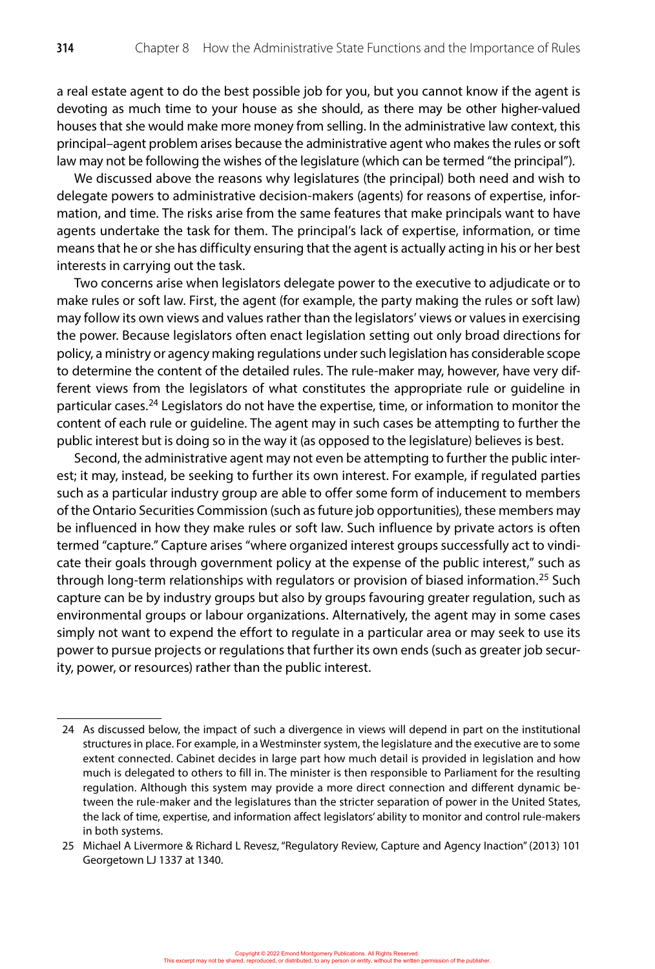a real estate agent to do the best possible job for you, but you cannot know if the agent is devoting as much time to your house as she should, as there may be other higher-valued houses that she would make more money from selling. In the administrative law context, this principal–agent problem arises because the administrative agent who makes the rules or soft law may not be following the wishes of the legislature (which can be termed "the principal").

We discussed above the reasons why legislatures (the principal) both need and wish to delegate powers to administrative decision-makers (agents) for reasons of expertise, information, and time. The risks arise from the same features that make principals want to have agents undertake the task for them. The principal's lack of expertise, information, or time means that he or she has difficulty ensuring that the agent is actually acting in his or her best interests in carrying out the task.

Two concerns arise when legislators delegate power to the executive to adjudicate or to make rules or soft law. First, the agent (for example, the party making the rules or soft law) may follow its own views and values rather than the legislators' views or values in exercising the power. Because legislators often enact legislation setting out only broad directions for policy, a ministry or agency making regulations under such legislation has considerable scope to determine the content of the detailed rules. The rule-maker may, however, have very different views from the legislators of what constitutes the appropriate rule or guideline in particular cases.<sup>24</sup> Legislators do not have the expertise, time, or information to monitor the content of each rule or guideline. The agent may in such cases be attempting to further the public interest but is doing so in the way it (as opposed to the legislature) believes is best.

Second, the administrative agent may not even be attempting to further the public interest; it may, instead, be seeking to further its own interest. For example, if regulated parties such as a particular industry group are able to offer some form of inducement to members of the Ontario Securities Commission (such as future job opportunities), these members may be influenced in how they make rules or soft law. Such influence by private actors is often termed "capture." Capture arises "where organized interest groups successfully act to vindicate their goals through government policy at the expense of the public interest," such as through long-term relationships with regulators or provision of biased information.<sup>25</sup> Such capture can be by industry groups but also by groups favouring greater regulation, such as environmental groups or labour organizations. Alternatively, the agent may in some cases simply not want to expend the effort to regulate in a particular area or may seek to use its power to pursue projects or regulations that further its own ends (such as greater job security, power, or resources) rather than the public interest.

<sup>24</sup> As discussed below, the impact of such a divergence in views will depend in part on the institutional structures in place. For example, in a Westminster system, the legislature and the executive are to some extent connected. Cabinet decides in large part how much detail is provided in legislation and how much is delegated to others to fill in. The minister is then responsible to Parliament for the resulting regulation. Although this system may provide a more direct connection and different dynamic between the rule-maker and the legislatures than the stricter separation of power in the United States, the lack of time, expertise, and information affect legislators' ability to monitor and control rule-makers in both systems.

<sup>25</sup> Michael A Livermore & Richard L Revesz, "Regulatory Review, Capture and Agency Inaction" (2013) 101 Georgetown LJ 1337 at 1340.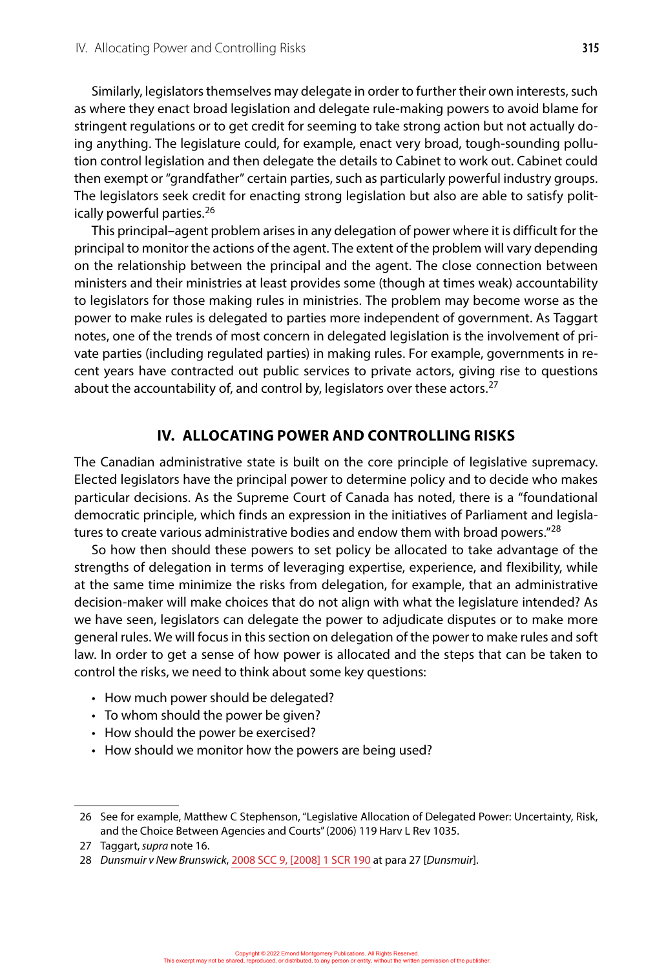Similarly, legislators themselves may delegate in order to further their own interests, such as where they enact broad legislation and delegate rule-making powers to avoid blame for stringent regulations or to get credit for seeming to take strong action but not actually doing anything. The legislature could, for example, enact very broad, tough-sounding pollution control legislation and then delegate the details to Cabinet to work out. Cabinet could then exempt or "grandfather" certain parties, such as particularly powerful industry groups. The legislators seek credit for enacting strong legislation but also are able to satisfy politically powerful parties.<sup>26</sup>

This principal–agent problem arises in any delegation of power where it is difficult for the principal to monitor the actions of the agent. The extent of the problem will vary depending on the relationship between the principal and the agent. The close connection between ministers and their ministries at least provides some (though at times weak) accountability to legislators for those making rules in ministries. The problem may become worse as the power to make rules is delegated to parties more independent of government. As Taggart notes, one of the trends of most concern in delegated legislation is the involvement of private parties (including regulated parties) in making rules. For example, governments in recent years have contracted out public services to private actors, giving rise to questions about the accountability of, and control by, legislators over these actors.<sup>27</sup>

#### **IV. ALLOCATING POWER AND CONTROLLING RISKS**

The Canadian administrative state is built on the core principle of legislative supremacy. Elected legislators have the principal power to determine policy and to decide who makes particular decisions. As the Supreme Court of Canada has noted, there is a "foundational democratic principle, which finds an expression in the initiatives of Parliament and legislatures to create various administrative bodies and endow them with broad powers." $^{28}$ 

So how then should these powers to set policy be allocated to take advantage of the strengths of delegation in terms of leveraging expertise, experience, and flexibility, while at the same time minimize the risks from delegation, for example, that an administrative decision-maker will make choices that do not align with what the legislature intended? As we have seen, legislators can delegate the power to adjudicate disputes or to make more general rules. We will focus in this section on delegation of the power to make rules and soft law. In order to get a sense of how power is allocated and the steps that can be taken to control the risks, we need to think about some key questions:

- How much power should be delegated?
- To whom should the power be given?
- How should the power be exercised?
- How should we monitor how the powers are being used?

<sup>26</sup> See for example, Matthew C Stephenson, "Legislative Allocation of Delegated Power: Uncertainty, Risk, and the Choice Between Agencies and Courts" (2006) 119 Harv L Rev 1035.

<sup>27</sup> Taggart, *supra* note 16.

<sup>28</sup> *Dunsmuir v New Brunswick*, [2008 SCC 9, \[2008\] 1 SCR 190](https://www.canlii.org/en/ca/scc/doc/2008/2008scc9/2008scc9.html?autocompleteStr=Dunsmuir v New Brunswick%2C 2008 SCC 9%2C %5B2008%5D 1 SCR 190 &autocompletePos=1) at para 27 [*Dunsmuir*].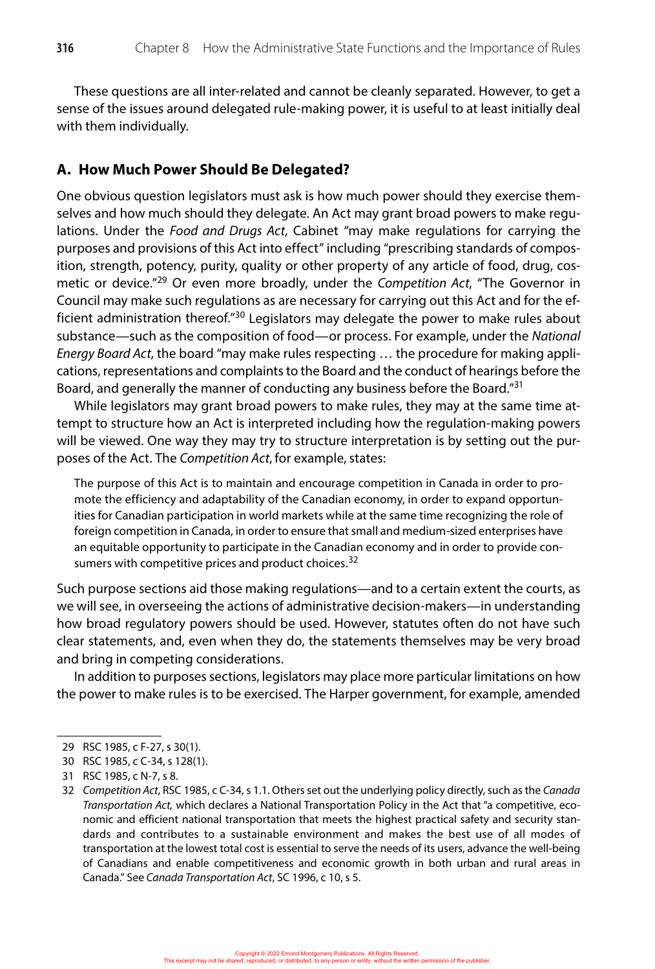These questions are all inter-related and cannot be cleanly separated. However, to get a sense of the issues around delegated rule-making power, it is useful to at least initially deal with them individually.

# **A. How Much Power Should Be Delegated?**

One obvious question legislators must ask is how much power should they exercise themselves and how much should they delegate. An Act may grant broad powers to make regulations. Under the *Food and Drugs Act*, Cabinet "may make regulations for carrying the purposes and provisions of this Act into effect" including "prescribing standards of composition, strength, potency, purity, quality or other property of any article of food, drug, cosmetic or device."29 Or even more broadly, under the *Competition Act*, "The Governor in Council may make such regulations as are necessary for carrying out this Act and for the efficient administration thereof." $30$  Legislators may delegate the power to make rules about substance—such as the composition of food—or process. For example, under the *National Energy Board Act*, the board "may make rules respecting … the procedure for making applications, representations and complaints to the Board and the conduct of hearings before the Board, and generally the manner of conducting any business before the Board."31

While legislators may grant broad powers to make rules, they may at the same time attempt to structure how an Act is interpreted including how the regulation-making powers will be viewed. One way they may try to structure interpretation is by setting out the purposes of the Act. The *Competition Act*, for example, states:

The purpose of this Act is to maintain and encourage competition in Canada in order to promote the efficiency and adaptability of the Canadian economy, in order to expand opportunities for Canadian participation in world markets while at the same time recognizing the role of foreign competition in Canada, in order to ensure that small and medium-sized enterprises have an equitable opportunity to participate in the Canadian economy and in order to provide consumers with competitive prices and product choices.<sup>32</sup>

Such purpose sections aid those making regulations—and to a certain extent the courts, as we will see, in overseeing the actions of administrative decision-makers—in understanding how broad regulatory powers should be used. However, statutes often do not have such clear statements, and, even when they do, the statements themselves may be very broad and bring in competing considerations.

In addition to purposes sections, legislators may place more particular limitations on how the power to make rules is to be exercised. The Harper government, for example, amended

<sup>29</sup> RSC 1985, c F-27, s 30(1).

<sup>30</sup> RSC 1985, c C-34, s 128(1).

<sup>31</sup> RSC 1985, c N-7, s 8.

<sup>32</sup> *Competition Act*, RSC 1985, c C-34, s 1.1. Others set out the underlying policy directly, such as the *Canada Transportation Act,* which declares a National Transportation Policy in the Act that "a competitive, economic and efficient national transportation that meets the highest practical safety and security standards and contributes to a sustainable environment and makes the best use of all modes of transportation at the lowest total cost is essential to serve the needs of its users, advance the well-being of Canadians and enable competitiveness and economic growth in both urban and rural areas in Canada." See *Canada Transportation Act*, SC 1996, c 10, s 5.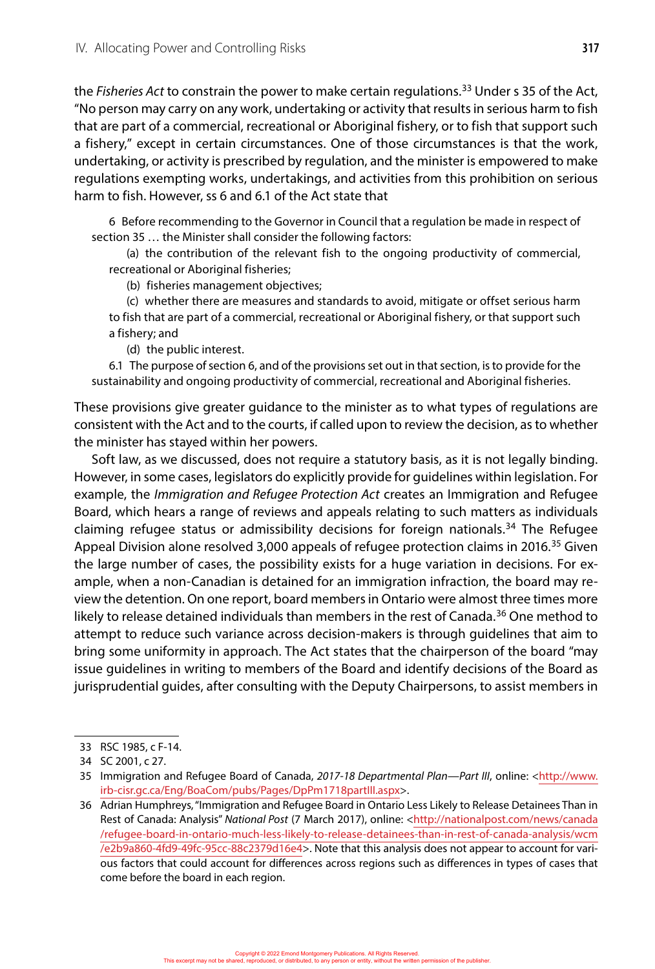the *Fisheries Act* to constrain the power to make certain regulations.33 Under s 35 of the Act, "No person may carry on any work, undertaking or activity that results in serious harm to fish that are part of a commercial, recreational or Aboriginal fishery, or to fish that support such a fishery," except in certain circumstances. One of those circumstances is that the work, undertaking, or activity is prescribed by regulation, and the minister is empowered to make regulations exempting works, undertakings, and activities from this prohibition on serious harm to fish. However, ss 6 and 6.1 of the Act state that

6 Before recommending to the Governor in Council that a regulation be made in respect of section 35 … the Minister shall consider the following factors:

(a) the contribution of the relevant fish to the ongoing productivity of commercial, recreational or Aboriginal fisheries;

(b) fisheries management objectives;

(c) whether there are measures and standards to avoid, mitigate or offset serious harm to fish that are part of a commercial, recreational or Aboriginal fishery, or that support such a fishery; and

(d) the public interest.

6.1 The purpose of section 6, and of the provisions set out in that section, is to provide for the sustainability and ongoing productivity of commercial, recreational and Aboriginal fisheries.

These provisions give greater guidance to the minister as to what types of regulations are consistent with the Act and to the courts, if called upon to review the decision, as to whether the minister has stayed within her powers.

Soft law, as we discussed, does not require a statutory basis, as it is not legally binding. However, in some cases, legislators do explicitly provide for guidelines within legislation. For example, the *Immigration and Refugee Protection Act* creates an Immigration and Refugee Board, which hears a range of reviews and appeals relating to such matters as individuals claiming refugee status or admissibility decisions for foreign nationals.<sup>34</sup> The Refugee Appeal Division alone resolved 3,000 appeals of refugee protection claims in 2016.<sup>35</sup> Given the large number of cases, the possibility exists for a huge variation in decisions. For example, when a non-Canadian is detained for an immigration infraction, the board may review the detention. On one report, board members in Ontario were almost three times more likely to release detained individuals than members in the rest of Canada.<sup>36</sup> One method to attempt to reduce such variance across decision-makers is through guidelines that aim to bring some uniformity in approach. The Act states that the chairperson of the board "may issue guidelines in writing to members of the Board and identify decisions of the Board as jurisprudential guides, after consulting with the Deputy Chairpersons, to assist members in

<sup>33</sup> RSC 1985, c F-14.

<sup>34</sup> SC 2001, c 27.

<sup>35</sup> Immigration and Refugee Board of Canada, *2017-18 Departmental Plan*—*Part III*, online: [<http://www.](http://www.irb-cisr.gc.ca/Eng/BoaCom/pubs/Pages/DpPm1718partIII.aspx) [irb-cisr.gc.ca/Eng/BoaCom/pubs/Pages/DpPm1718partIII.aspx>](http://www.irb-cisr.gc.ca/Eng/BoaCom/pubs/Pages/DpPm1718partIII.aspx).

<sup>36</sup> Adrian Humphreys, "Immigration and Refugee Board in Ontario Less Likely to Release Detainees Than in Rest of Canada: Analysis" *National Post* (7 March 2017), online: [<http://nationalpost.com/news/canada](http://nationalpost.com/news/canada/refugee-board-in-ontario-much-less-likely-to-release-detainees-than-in-rest-of-canada-analysis/wcm/e2b9a860-4fd9-49fc-95cc-88c2379d16e4) [/refugee-board-in-ontario-much-less-likely-to-release-detainees-than-in-rest-of-canada-analysis/wcm](http://nationalpost.com/news/canada/refugee-board-in-ontario-much-less-likely-to-release-detainees-than-in-rest-of-canada-analysis/wcm/e2b9a860-4fd9-49fc-95cc-88c2379d16e4) [/e2b9a860-4fd9-49fc-95cc-88c2379d16e4>.](http://nationalpost.com/news/canada/refugee-board-in-ontario-much-less-likely-to-release-detainees-than-in-rest-of-canada-analysis/wcm/e2b9a860-4fd9-49fc-95cc-88c2379d16e4) Note that this analysis does not appear to account for various factors that could account for differences across regions such as differences in types of cases that come before the board in each region.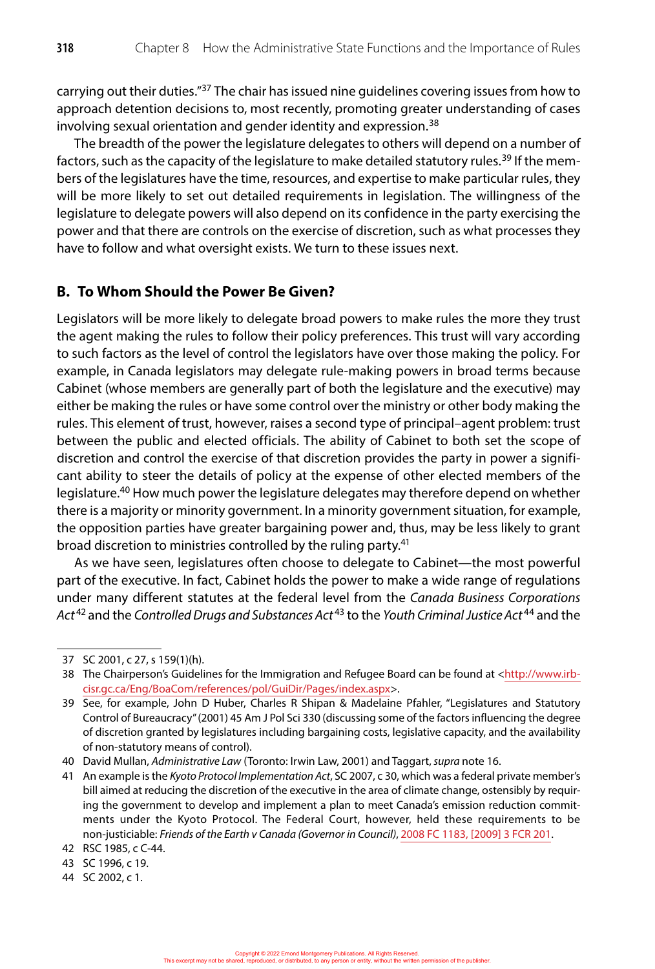carrying out their duties."37 The chair has issued nine guidelines covering issues from how to approach detention decisions to, most recently, promoting greater understanding of cases involving sexual orientation and gender identity and expression.<sup>38</sup>

The breadth of the power the legislature delegates to others will depend on a number of factors, such as the capacity of the legislature to make detailed statutory rules.<sup>39</sup> If the members of the legislatures have the time, resources, and expertise to make particular rules, they will be more likely to set out detailed requirements in legislation. The willingness of the legislature to delegate powers will also depend on its confidence in the party exercising the power and that there are controls on the exercise of discretion, such as what processes they have to follow and what oversight exists. We turn to these issues next.

# **B. To Whom Should the Power Be Given?**

Legislators will be more likely to delegate broad powers to make rules the more they trust the agent making the rules to follow their policy preferences. This trust will vary according to such factors as the level of control the legislators have over those making the policy. For example, in Canada legislators may delegate rule-making powers in broad terms because Cabinet (whose members are generally part of both the legislature and the executive) may either be making the rules or have some control over the ministry or other body making the rules. This element of trust, however, raises a second type of principal–agent problem: trust between the public and elected officials. The ability of Cabinet to both set the scope of discretion and control the exercise of that discretion provides the party in power a significant ability to steer the details of policy at the expense of other elected members of the legislature.<sup>40</sup> How much power the legislature delegates may therefore depend on whether there is a majority or minority government. In a minority government situation, for example, the opposition parties have greater bargaining power and, thus, may be less likely to grant broad discretion to ministries controlled by the ruling party.<sup>41</sup>

As we have seen, legislatures often choose to delegate to Cabinet—the most powerful part of the executive. In fact, Cabinet holds the power to make a wide range of regulations under many different statutes at the federal level from the *Canada Business Corporations Act* <sup>42</sup> and the *Controlled Drugs and Substances Act* 43 to the *Youth Criminal Justice Act* 44 and the

<sup>37</sup> SC 2001, c 27, s 159(1)(h).

<sup>38</sup> The Chairperson's Guidelines for the Immigration and Refugee Board can be found at <[http://www.irb](http://www.irb-cisr.gc.ca/Eng/BoaCom/references/pol/GuiDir/Pages/index.aspx)[cisr.gc.ca/Eng/BoaCom/references/pol/GuiDir/Pages/index.aspx](http://www.irb-cisr.gc.ca/Eng/BoaCom/references/pol/GuiDir/Pages/index.aspx)>.

<sup>39</sup> See, for example, John D Huber, Charles R Shipan & Madelaine Pfahler, "Legislatures and Statutory Control of Bureaucracy" (2001) 45 Am J Pol Sci 330 (discussing some of the factors influencing the degree of discretion granted by legislatures including bargaining costs, legislative capacity, and the availability of non-statutory means of control).

<sup>40</sup> David Mullan, *Administrative Law* (Toronto: Irwin Law, 2001) and Taggart, *supra* note 16.

<sup>41</sup> An example is the *Kyoto Protocol Implementation Act*, SC 2007, c 30, which was a federal private member's bill aimed at reducing the discretion of the executive in the area of climate change, ostensibly by requiring the government to develop and implement a plan to meet Canada's emission reduction commitments under the Kyoto Protocol. The Federal Court, however, held these requirements to be non-justiciable: *Friends of the Earth v Canada (Governor in Council)*, [2008 FC 1183, \[2009\] 3 FCR 201.](https://www.canlii.org/en/ca/fct/doc/2008/2008fc1183/2008fc1183.html?autocompleteStr=Friends of the Earth v Canada (Minister of Environment)%2C 2008 FC 1183&autocompletePos=1)

<sup>42</sup> RSC 1985, c C-44.

<sup>43</sup> SC 1996, c 19.

<sup>44</sup> SC 2002, c 1.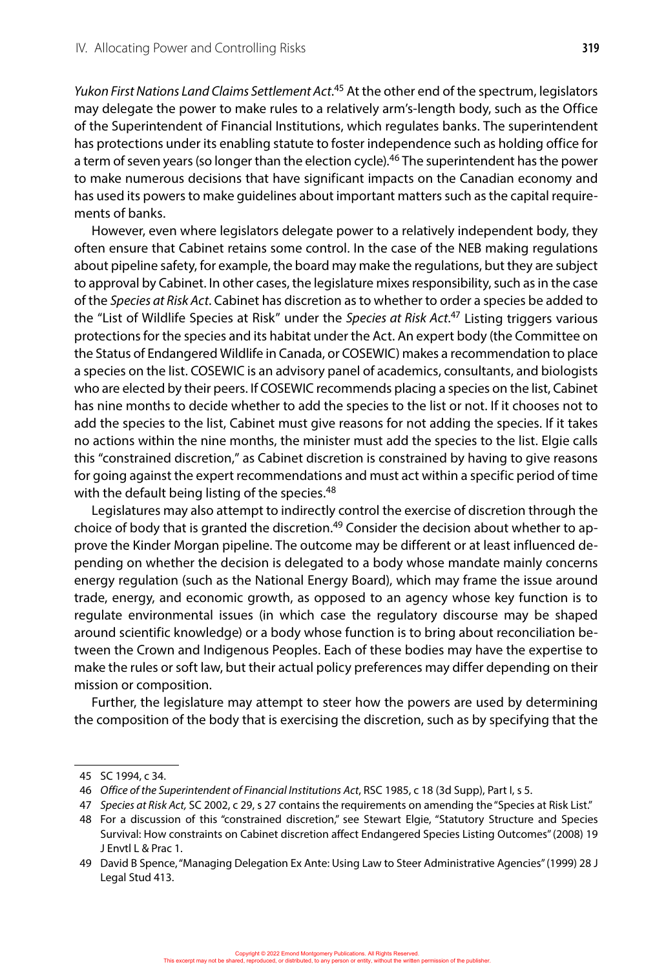Yukon First Nations Land Claims Settlement Act.<sup>45</sup> At the other end of the spectrum, legislators may delegate the power to make rules to a relatively arm's-length body, such as the Office of the Superintendent of Financial Institutions, which regulates banks. The superintendent has protections under its enabling statute to foster independence such as holding office for a term of seven years (so longer than the election cycle).<sup>46</sup> The superintendent has the power to make numerous decisions that have significant impacts on the Canadian economy and has used its powers to make guidelines about important matters such as the capital requirements of banks.

However, even where legislators delegate power to a relatively independent body, they often ensure that Cabinet retains some control. In the case of the NEB making regulations about pipeline safety, for example, the board may make the regulations, but they are subject to approval by Cabinet. In other cases, the legislature mixes responsibility, such as in the case of the *Species at Risk Act*. Cabinet has discretion as to whether to order a species be added to the "List of Wildlife Species at Risk" under the *Species at Risk Act*. 47 Listing triggers various protections for the species and its habitat under the Act. An expert body (the Committee on the Status of Endangered Wildlife in Canada, or COSEWIC) makes a recommendation to place a species on the list. COSEWIC is an advisory panel of academics, consultants, and biologists who are elected by their peers. If COSEWIC recommends placing a species on the list, Cabinet has nine months to decide whether to add the species to the list or not. If it chooses not to add the species to the list, Cabinet must give reasons for not adding the species. If it takes no actions within the nine months, the minister must add the species to the list. Elgie calls this "constrained discretion," as Cabinet discretion is constrained by having to give reasons for going against the expert recommendations and must act within a specific period of time with the default being listing of the species.<sup>48</sup>

Legislatures may also attempt to indirectly control the exercise of discretion through the choice of body that is granted the discretion.<sup>49</sup> Consider the decision about whether to approve the Kinder Morgan pipeline. The outcome may be different or at least influenced depending on whether the decision is delegated to a body whose mandate mainly concerns energy regulation (such as the National Energy Board), which may frame the issue around trade, energy, and economic growth, as opposed to an agency whose key function is to regulate environmental issues (in which case the regulatory discourse may be shaped around scientific knowledge) or a body whose function is to bring about reconciliation between the Crown and Indigenous Peoples. Each of these bodies may have the expertise to make the rules or soft law, but their actual policy preferences may differ depending on their mission or composition.

Further, the legislature may attempt to steer how the powers are used by determining the composition of the body that is exercising the discretion, such as by specifying that the

<sup>45</sup> SC 1994, c 34.

<sup>46</sup> *Office of the Superintendent of Financial Institutions Act*, RSC 1985, c 18 (3d Supp), Part I, s 5.

<sup>47</sup> *Species at Risk Act,* SC 2002, c 29, s 27 contains the requirements on amending the "Species at Risk List."

<sup>48</sup> For a discussion of this "constrained discretion," see Stewart Elgie, "Statutory Structure and Species Survival: How constraints on Cabinet discretion affect Endangered Species Listing Outcomes" (2008) 19 J Envtl L & Prac 1.

<sup>49</sup> David B Spence, "Managing Delegation Ex Ante: Using Law to Steer Administrative Agencies" (1999) 28 J Legal Stud 413.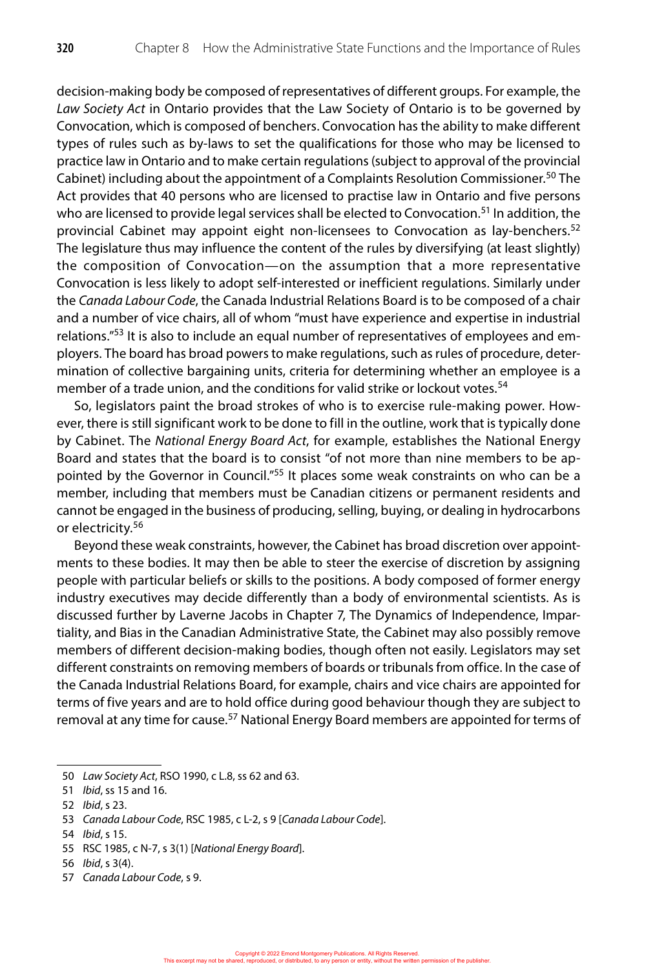decision-making body be composed of representatives of different groups. For example, the *Law Society Act* in Ontario provides that the Law Society of Ontario is to be governed by Convocation, which is composed of benchers. Convocation has the ability to make different types of rules such as by-laws to set the qualifications for those who may be licensed to practice law in Ontario and to make certain regulations (subject to approval of the provincial Cabinet) including about the appointment of a Complaints Resolution Commissioner.<sup>50</sup> The Act provides that 40 persons who are licensed to practise law in Ontario and five persons who are licensed to provide legal services shall be elected to Convocation.<sup>51</sup> In addition, the provincial Cabinet may appoint eight non-licensees to Convocation as lay-benchers.<sup>52</sup> The legislature thus may influence the content of the rules by diversifying (at least slightly) the composition of Convocation—on the assumption that a more representative Convocation is less likely to adopt self-interested or inefficient regulations. Similarly under the *Canada Labour Code*, the Canada Industrial Relations Board is to be composed of a chair and a number of vice chairs, all of whom "must have experience and expertise in industrial relations."53 It is also to include an equal number of representatives of employees and employers. The board has broad powers to make regulations, such as rules of procedure, determination of collective bargaining units, criteria for determining whether an employee is a member of a trade union, and the conditions for valid strike or lockout votes.<sup>54</sup>

So, legislators paint the broad strokes of who is to exercise rule-making power. However, there is still significant work to be done to fill in the outline, work that is typically done by Cabinet. The *National Energy Board Act*, for example, establishes the National Energy Board and states that the board is to consist "of not more than nine members to be appointed by the Governor in Council."55 It places some weak constraints on who can be a member, including that members must be Canadian citizens or permanent residents and cannot be engaged in the business of producing, selling, buying, or dealing in hydrocarbons or electricity.<sup>56</sup>

Beyond these weak constraints, however, the Cabinet has broad discretion over appointments to these bodies. It may then be able to steer the exercise of discretion by assigning people with particular beliefs or skills to the positions. A body composed of former energy industry executives may decide differently than a body of environmental scientists. As is discussed further by Laverne Jacobs in Chapter 7, The Dynamics of Independence, Impartiality, and Bias in the Canadian Administrative State, the Cabinet may also possibly remove members of different decision-making bodies, though often not easily. Legislators may set different constraints on removing members of boards or tribunals from office. In the case of the Canada Industrial Relations Board, for example, chairs and vice chairs are appointed for terms of five years and are to hold office during good behaviour though they are subject to removal at any time for cause.<sup>57</sup> National Energy Board members are appointed for terms of

56 *Ibid*, s 3(4).

<sup>50</sup> *Law Society Act*, RSO 1990, c L.8, ss 62 and 63.

<sup>51</sup> *Ibid*, ss 15 and 16.

<sup>52</sup> *Ibid*, s 23.

<sup>53</sup> *Canada Labour Code*, RSC 1985, c L-2, s 9 [*Canada Labour Code*].

<sup>54</sup> *Ibid*, s 15.

<sup>55</sup> RSC 1985, c N-7, s 3(1) [*National Energy Board*].

<sup>57</sup> *Canada Labour Code*, s 9.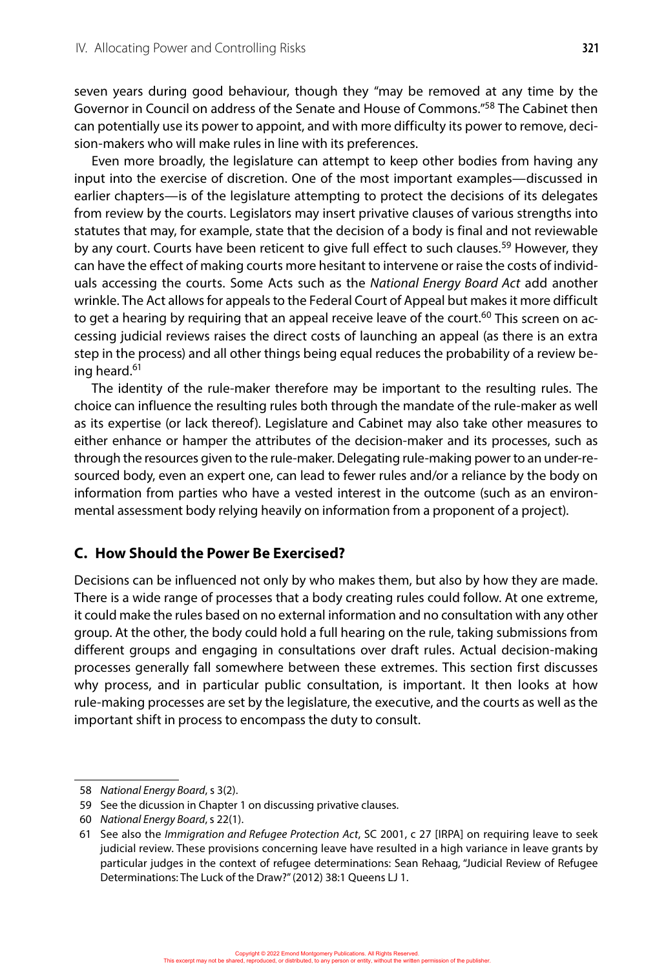seven years during good behaviour, though they "may be removed at any time by the Governor in Council on address of the Senate and House of Commons."<sup>58</sup> The Cabinet then can potentially use its power to appoint, and with more difficulty its power to remove, decision-makers who will make rules in line with its preferences.

Even more broadly, the legislature can attempt to keep other bodies from having any input into the exercise of discretion. One of the most important examples—discussed in earlier chapters—is of the legislature attempting to protect the decisions of its delegates from review by the courts. Legislators may insert privative clauses of various strengths into statutes that may, for example, state that the decision of a body is final and not reviewable by any court. Courts have been reticent to give full effect to such clauses.<sup>59</sup> However, they can have the effect of making courts more hesitant to intervene or raise the costs of individuals accessing the courts. Some Acts such as the *National Energy Board Act* add another wrinkle. The Act allows for appeals to the Federal Court of Appeal but makes it more difficult to get a hearing by requiring that an appeal receive leave of the court.<sup>60</sup> This screen on accessing judicial reviews raises the direct costs of launching an appeal (as there is an extra step in the process) and all other things being equal reduces the probability of a review being heard.<sup>61</sup>

The identity of the rule-maker therefore may be important to the resulting rules. The choice can influence the resulting rules both through the mandate of the rule-maker as well as its expertise (or lack thereof). Legislature and Cabinet may also take other measures to either enhance or hamper the attributes of the decision-maker and its processes, such as through the resources given to the rule-maker. Delegating rule-making power to an under-resourced body, even an expert one, can lead to fewer rules and/or a reliance by the body on information from parties who have a vested interest in the outcome (such as an environmental assessment body relying heavily on information from a proponent of a project).

# **C. How Should the Power Be Exercised?**

Decisions can be influenced not only by who makes them, but also by how they are made. There is a wide range of processes that a body creating rules could follow. At one extreme, it could make the rules based on no external information and no consultation with any other group. At the other, the body could hold a full hearing on the rule, taking submissions from different groups and engaging in consultations over draft rules. Actual decision-making processes generally fall somewhere between these extremes. This section first discusses why process, and in particular public consultation, is important. It then looks at how rule-making processes are set by the legislature, the executive, and the courts as well as the important shift in process to encompass the duty to consult.

<sup>58</sup> *National Energy Board*, s 3(2).

<sup>59</sup> See the dicussion in Chapter 1 on discussing privative clauses.

<sup>60</sup> *National Energy Board*,s 22(1).

<sup>61</sup> See also the *Immigration and Refugee Protection Act*, SC 2001, c 27 [IRPA] on requiring leave to seek judicial review. These provisions concerning leave have resulted in a high variance in leave grants by particular judges in the context of refugee determinations: Sean Rehaag, "Judicial Review of Refugee Determinations: The Luck of the Draw?" (2012) 38:1 Queens LJ 1.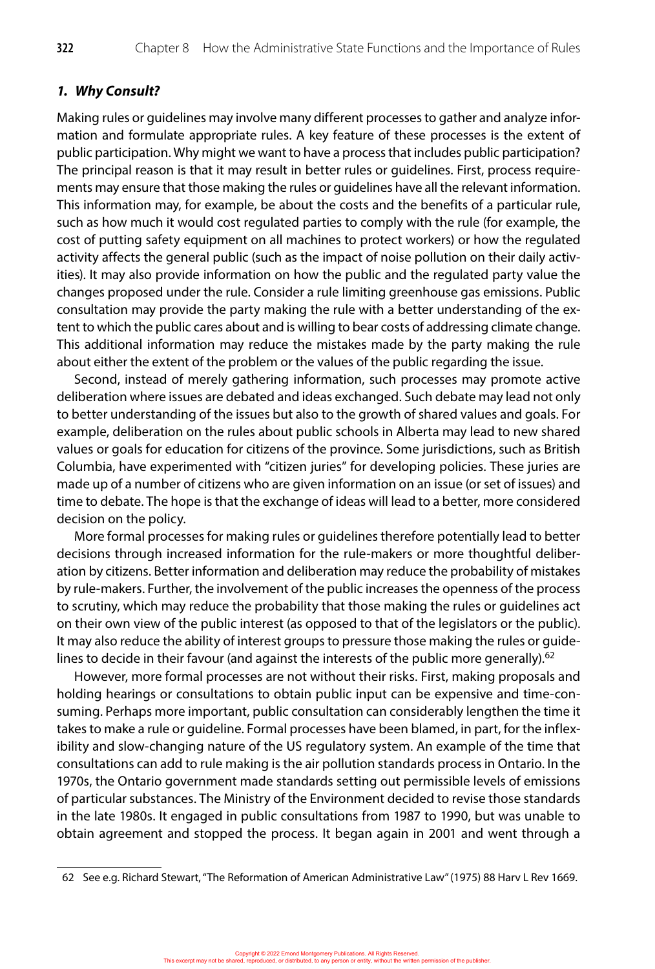## *1. Why Consult?*

Making rules or guidelines may involve many different processes to gather and analyze information and formulate appropriate rules. A key feature of these processes is the extent of public participation. Why might we want to have a process that includes public participation? The principal reason is that it may result in better rules or guidelines. First, process requirements may ensure that those making the rules or guidelines have all the relevant information. This information may, for example, be about the costs and the benefits of a particular rule, such as how much it would cost regulated parties to comply with the rule (for example, the cost of putting safety equipment on all machines to protect workers) or how the regulated activity affects the general public (such as the impact of noise pollution on their daily activities). It may also provide information on how the public and the regulated party value the changes proposed under the rule. Consider a rule limiting greenhouse gas emissions. Public consultation may provide the party making the rule with a better understanding of the extent to which the public cares about and is willing to bear costs of addressing climate change. This additional information may reduce the mistakes made by the party making the rule about either the extent of the problem or the values of the public regarding the issue.

Second, instead of merely gathering information, such processes may promote active deliberation where issues are debated and ideas exchanged. Such debate may lead not only to better understanding of the issues but also to the growth of shared values and goals. For example, deliberation on the rules about public schools in Alberta may lead to new shared values or goals for education for citizens of the province. Some jurisdictions, such as British Columbia, have experimented with "citizen juries" for developing policies. These juries are made up of a number of citizens who are given information on an issue (or set of issues) and time to debate. The hope is that the exchange of ideas will lead to a better, more considered decision on the policy.

More formal processes for making rules or guidelines therefore potentially lead to better decisions through increased information for the rule-makers or more thoughtful deliberation by citizens. Better information and deliberation may reduce the probability of mistakes by rule-makers. Further, the involvement of the public increases the openness of the process to scrutiny, which may reduce the probability that those making the rules or guidelines act on their own view of the public interest (as opposed to that of the legislators or the public). It may also reduce the ability of interest groups to pressure those making the rules or guidelines to decide in their favour (and against the interests of the public more generally).<sup>62</sup>

However, more formal processes are not without their risks. First, making proposals and holding hearings or consultations to obtain public input can be expensive and time-consuming. Perhaps more important, public consultation can considerably lengthen the time it takes to make a rule or guideline. Formal processes have been blamed, in part, for the inflexibility and slow-changing nature of the US regulatory system. An example of the time that consultations can add to rule making is the air pollution standards process in Ontario. In the 1970s, the Ontario government made standards setting out permissible levels of emissions of particular substances. The Ministry of the Environment decided to revise those standards in the late 1980s. It engaged in public consultations from 1987 to 1990, but was unable to obtain agreement and stopped the process. It began again in 2001 and went through a

<sup>62</sup> See e.g. Richard Stewart, "The Reformation of American Administrative Law" (1975) 88 Harv L Rev 1669.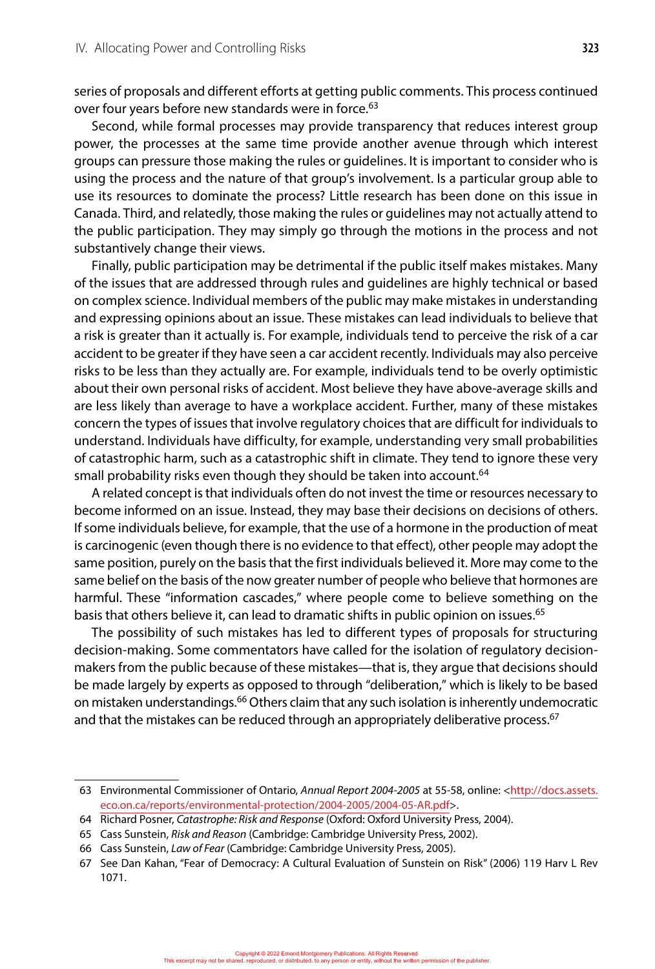series of proposals and different efforts at getting public comments. This process continued over four years before new standards were in force.<sup>63</sup>

Second, while formal processes may provide transparency that reduces interest group power, the processes at the same time provide another avenue through which interest groups can pressure those making the rules or guidelines. It is important to consider who is using the process and the nature of that group's involvement. Is a particular group able to use its resources to dominate the process? Little research has been done on this issue in Canada. Third, and relatedly, those making the rules or guidelines may not actually attend to the public participation. They may simply go through the motions in the process and not substantively change their views.

Finally, public participation may be detrimental if the public itself makes mistakes. Many of the issues that are addressed through rules and guidelines are highly technical or based on complex science. Individual members of the public may make mistakes in understanding and expressing opinions about an issue. These mistakes can lead individuals to believe that a risk is greater than it actually is. For example, individuals tend to perceive the risk of a car accident to be greater if they have seen a car accident recently. Individuals may also perceive risks to be less than they actually are. For example, individuals tend to be overly optimistic about their own personal risks of accident. Most believe they have above-average skills and are less likely than average to have a workplace accident. Further, many of these mistakes concern the types of issues that involve regulatory choices that are difficult for individuals to understand. Individuals have difficulty, for example, understanding very small probabilities of catastrophic harm, such as a catastrophic shift in climate. They tend to ignore these very small probability risks even though they should be taken into account.<sup>64</sup>

A related concept is that individuals often do not invest the time or resources necessary to become informed on an issue. Instead, they may base their decisions on decisions of others. If some individuals believe, for example, that the use of a hormone in the production of meat is carcinogenic (even though there is no evidence to that effect), other people may adopt the same position, purely on the basis that the first individuals believed it. More may come to the same belief on the basis of the now greater number of people who believe that hormones are harmful. These "information cascades," where people come to believe something on the basis that others believe it, can lead to dramatic shifts in public opinion on issues.<sup>65</sup>

The possibility of such mistakes has led to different types of proposals for structuring decision-making. Some commentators have called for the isolation of regulatory decisionmakers from the public because of these mistakes—that is, they argue that decisions should be made largely by experts as opposed to through "deliberation," which is likely to be based on mistaken understandings.<sup>66</sup> Others claim that any such isolation is inherently undemocratic and that the mistakes can be reduced through an appropriately deliberative process. $67$ 

<sup>63</sup> Environmental Commissioner of Ontario, *Annual Report 2004-2005* at 55-58, online: <[http://docs.assets.](http://docs.assets.eco.on.ca/reports/environmental-protection/2004-2005/2004-05-AR.pdf) [eco.on.ca/reports/environmental-protection/2004-2005/2004-05-AR.pdf>](http://docs.assets.eco.on.ca/reports/environmental-protection/2004-2005/2004-05-AR.pdf).

<sup>64</sup> Richard Posner, *Catastrophe: Risk and Response* (Oxford: Oxford University Press, 2004).

<sup>65</sup> Cass Sunstein, *Risk and Reason* (Cambridge: Cambridge University Press, 2002).

<sup>66</sup> Cass Sunstein, *Law of Fear* (Cambridge: Cambridge University Press, 2005).

<sup>67</sup> See Dan Kahan, "Fear of Democracy: A Cultural Evaluation of Sunstein on Risk" (2006) 119 Harv L Rev 1071.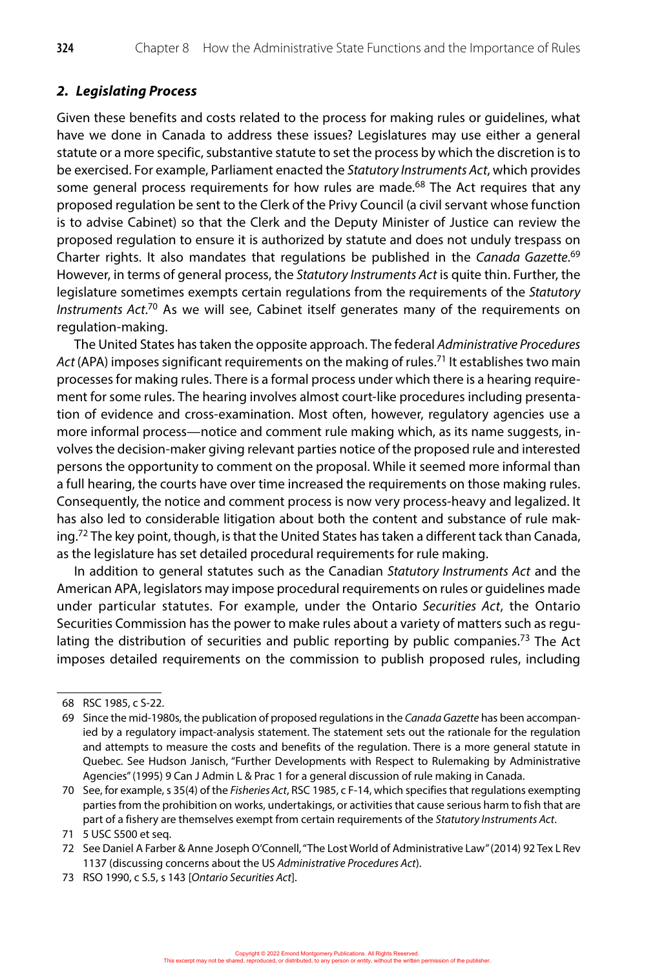#### *2. Legislating Process*

Given these benefits and costs related to the process for making rules or guidelines, what have we done in Canada to address these issues? Legislatures may use either a general statute or a more specific, substantive statute to set the process by which the discretion is to be exercised. For example, Parliament enacted the *Statutory Instruments Act*, which provides some general process requirements for how rules are made.<sup>68</sup> The Act requires that any proposed regulation be sent to the Clerk of the Privy Council (a civil servant whose function is to advise Cabinet) so that the Clerk and the Deputy Minister of Justice can review the proposed regulation to ensure it is authorized by statute and does not unduly trespass on Charter rights. It also mandates that regulations be published in the *Canada Gazette*. 69 However, in terms of general process, the *Statutory Instruments Act* is quite thin. Further, the legislature sometimes exempts certain regulations from the requirements of the *Statutory Instruments Act*. 70 As we will see, Cabinet itself generates many of the requirements on regulation-making.

The United States has taken the opposite approach. The federal *Administrative Procedures*  Act (APA) imposes significant requirements on the making of rules.<sup>71</sup> It establishes two main processes for making rules. There is a formal process under which there is a hearing requirement for some rules. The hearing involves almost court-like procedures including presentation of evidence and cross-examination. Most often, however, regulatory agencies use a more informal process—notice and comment rule making which, as its name suggests, involves the decision-maker giving relevant parties notice of the proposed rule and interested persons the opportunity to comment on the proposal. While it seemed more informal than a full hearing, the courts have over time increased the requirements on those making rules. Consequently, the notice and comment process is now very process-heavy and legalized. It has also led to considerable litigation about both the content and substance of rule making.<sup>72</sup> The key point, though, is that the United States has taken a different tack than Canada, as the legislature has set detailed procedural requirements for rule making.

In addition to general statutes such as the Canadian *Statutory Instruments Act* and the American APA, legislators may impose procedural requirements on rules or guidelines made under particular statutes. For example, under the Ontario *Securities Act*, the Ontario Securities Commission has the power to make rules about a variety of matters such as regulating the distribution of securities and public reporting by public companies.<sup>73</sup> The Act imposes detailed requirements on the commission to publish proposed rules, including

<sup>68</sup> RSC 1985, c S-22.

<sup>69</sup> Since the mid-1980s, the publication of proposed regulations in the *Canada Gazette* has been accompanied by a regulatory impact-analysis statement. The statement sets out the rationale for the regulation and attempts to measure the costs and benefits of the regulation. There is a more general statute in Quebec. See Hudson Janisch, "Further Developments with Respect to Rulemaking by Administrative Agencies" (1995) 9 Can J Admin L & Prac 1 for a general discussion of rule making in Canada.

<sup>70</sup> See, for example, s 35(4) of the *Fisheries Act*, RSC 1985, c F-14, which specifies that regulations exempting parties from the prohibition on works, undertakings, or activities that cause serious harm to fish that are part of a fishery are themselves exempt from certain requirements of the *Statutory Instruments Act*.

<sup>71</sup> 5 USC S500 et seq.

<sup>72</sup> See Daniel A Farber & Anne Joseph O'Connell, "The Lost World of Administrative Law" (2014) 92 Tex L Rev 1137 (discussing concerns about the US *Administrative Procedures Act*).

<sup>73</sup> RSO 1990, c S.5, s 143 [*Ontario Securities Act*].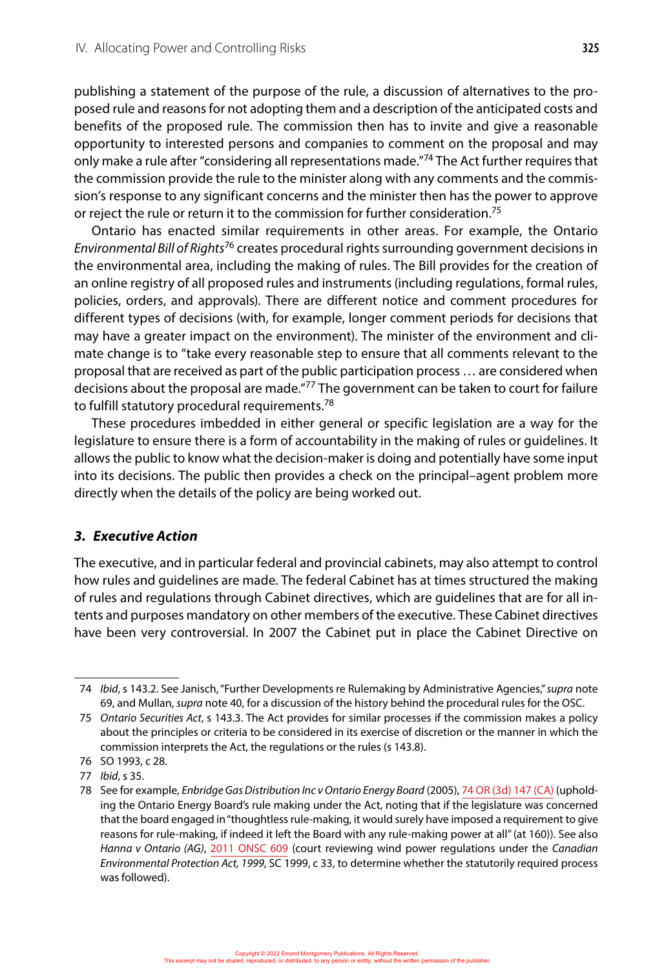publishing a statement of the purpose of the rule, a discussion of alternatives to the proposed rule and reasons for not adopting them and a description of the anticipated costs and benefits of the proposed rule. The commission then has to invite and give a reasonable opportunity to interested persons and companies to comment on the proposal and may only make a rule after "considering all representations made."<sup>74</sup> The Act further requires that the commission provide the rule to the minister along with any comments and the commission's response to any significant concerns and the minister then has the power to approve or reject the rule or return it to the commission for further consideration.<sup>75</sup>

Ontario has enacted similar requirements in other areas. For example, the Ontario *Environmental Bill of Rights*76 creates procedural rights surrounding government decisions in the environmental area, including the making of rules. The Bill provides for the creation of an online registry of all proposed rules and instruments (including regulations, formal rules, policies, orders, and approvals). There are different notice and comment procedures for different types of decisions (with, for example, longer comment periods for decisions that may have a greater impact on the environment). The minister of the environment and climate change is to "take every reasonable step to ensure that all comments relevant to the proposal that are received as part of the public participation process … are considered when decisions about the proposal are made."77 The government can be taken to court for failure to fulfill statutory procedural requirements.<sup>78</sup>

These procedures imbedded in either general or specific legislation are a way for the legislature to ensure there is a form of accountability in the making of rules or guidelines. It allows the public to know what the decision-maker is doing and potentially have some input into its decisions. The public then provides a check on the principal–agent problem more directly when the details of the policy are being worked out.

# *3. Executive Action*

The executive, and in particular federal and provincial cabinets, may also attempt to control how rules and guidelines are made. The federal Cabinet has at times structured the making of rules and regulations through Cabinet directives, which are guidelines that are for all intents and purposes mandatory on other members of the executive. These Cabinet directives have been very controversial. In 2007 the Cabinet put in place the Cabinet Directive on

<sup>74</sup> *Ibid*, s 143.2. See Janisch, "Further Developments re Rulemaking by Administrative Agencies," *supra* note 69, and Mullan, *supra* note 40, for a discussion of the history behind the procedural rules for the OSC.

<sup>75</sup> *Ontario Securities Act*, s 143.3. The Act provides for similar processes if the commission makes a policy about the principles or criteria to be considered in its exercise of discretion or the manner in which the commission interprets the Act, the regulations or the rules (s 143.8).

<sup>76</sup> SO 1993, c 28.

<sup>77</sup> *Ibid*, s 35.

<sup>78</sup> See for example, *Enbridge Gas Distribution Inc v Ontario Energy Board* (2005), [74 OR \(3d\) 147 \(CA\)](https://www.canlii.org/en/on/onca/doc/2005/2005canlii250/2005canlii250.html?autocompleteStr=74 OR (3d) 147 (CA)&autocompletePos=1) (upholding the Ontario Energy Board's rule making under the Act, noting that if the legislature was concerned that the board engaged in "thoughtless rule-making, it would surely have imposed a requirement to give reasons for rule-making, if indeed it left the Board with any rule-making power at all" (at 160)). See also *Hanna v Ontario (AG)*, [2011 ONSC 609](https://www.canlii.org/en/on/onscdc/doc/2011/2011onsc609/2011onsc609.html?autocompleteStr=2011 ONSC 609 &autocompletePos=1) (court reviewing wind power regulations under the *Canadian Environmental Protection Act, 1999*, SC 1999, c 33, to determine whether the statutorily required process was followed).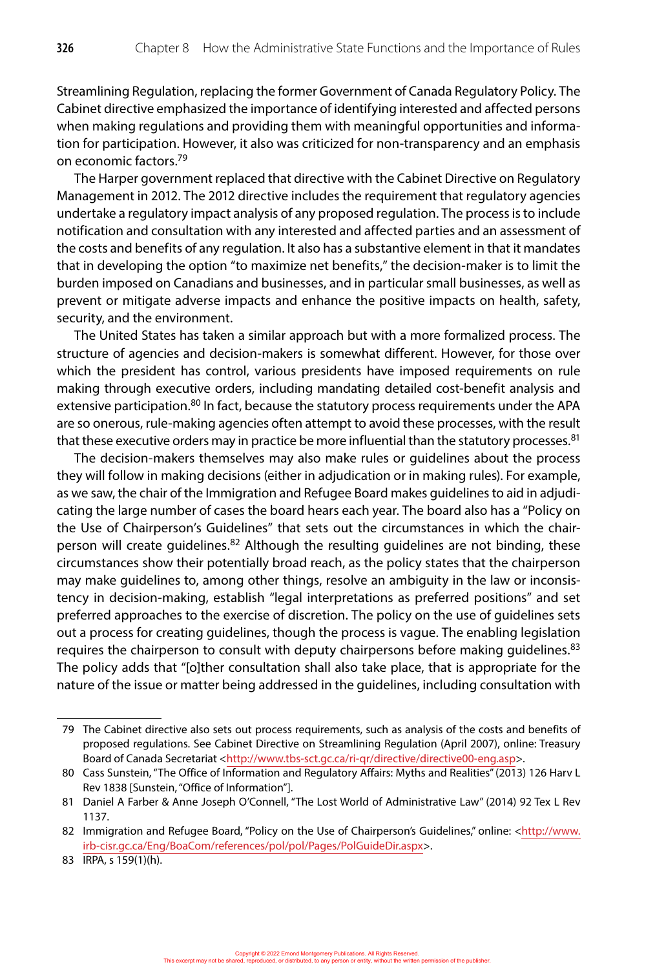Streamlining Regulation, replacing the former Government of Canada Regulatory Policy. The Cabinet directive emphasized the importance of identifying interested and affected persons when making regulations and providing them with meaningful opportunities and information for participation. However, it also was criticized for non-transparency and an emphasis on economic factors.79

The Harper government replaced that directive with the Cabinet Directive on Regulatory Management in 2012. The 2012 directive includes the requirement that regulatory agencies undertake a regulatory impact analysis of any proposed regulation. The process is to include notification and consultation with any interested and affected parties and an assessment of the costs and benefits of any regulation. It also has a substantive element in that it mandates that in developing the option "to maximize net benefits," the decision-maker is to limit the burden imposed on Canadians and businesses, and in particular small businesses, as well as prevent or mitigate adverse impacts and enhance the positive impacts on health, safety, security, and the environment.

The United States has taken a similar approach but with a more formalized process. The structure of agencies and decision-makers is somewhat different. However, for those over which the president has control, various presidents have imposed requirements on rule making through executive orders, including mandating detailed cost-benefit analysis and extensive participation.<sup>80</sup> In fact, because the statutory process requirements under the APA are so onerous, rule-making agencies often attempt to avoid these processes, with the result that these executive orders may in practice be more influential than the statutory processes.<sup>81</sup>

The decision-makers themselves may also make rules or guidelines about the process they will follow in making decisions (either in adjudication or in making rules). For example, as we saw, the chair of the Immigration and Refugee Board makes guidelines to aid in adjudicating the large number of cases the board hears each year. The board also has a "Policy on the Use of Chairperson's Guidelines" that sets out the circumstances in which the chairperson will create guidelines.<sup>82</sup> Although the resulting guidelines are not binding, these circumstances show their potentially broad reach, as the policy states that the chairperson may make guidelines to, among other things, resolve an ambiguity in the law or inconsistency in decision-making, establish "legal interpretations as preferred positions" and set preferred approaches to the exercise of discretion. The policy on the use of guidelines sets out a process for creating guidelines, though the process is vague. The enabling legislation requires the chairperson to consult with deputy chairpersons before making guidelines. $83$ The policy adds that "[o]ther consultation shall also take place, that is appropriate for the nature of the issue or matter being addressed in the guidelines, including consultation with

<sup>79</sup> The Cabinet directive also sets out process requirements, such as analysis of the costs and benefits of proposed regulations. See Cabinet Directive on Streamlining Regulation (April 2007), online: Treasury Board of Canada Secretariat <<http://www.tbs-sct.gc.ca/ri-qr/directive/directive00-eng.asp>>.

<sup>80</sup> Cass Sunstein, "The Office of Information and Regulatory Affairs: Myths and Realities" (2013) 126 Harv L Rev 1838 [Sunstein, "Office of Information"].

<sup>81</sup> Daniel A Farber & Anne Joseph O'Connell, "The Lost World of Administrative Law" (2014) 92 Tex L Rev 1137.

<sup>82</sup> Immigration and Refugee Board, "Policy on the Use of Chairperson's Guidelines," online: [<http://www.](http://www.irb-cisr.gc.ca/Eng/BoaCom/references/pol/pol/Pages/PolGuideDir.aspx) [irb-cisr.gc.ca/Eng/BoaCom/references/pol/pol/Pages/PolGuideDir.aspx>](http://www.irb-cisr.gc.ca/Eng/BoaCom/references/pol/pol/Pages/PolGuideDir.aspx).

<sup>83</sup> IRPA, s 159(1)(h).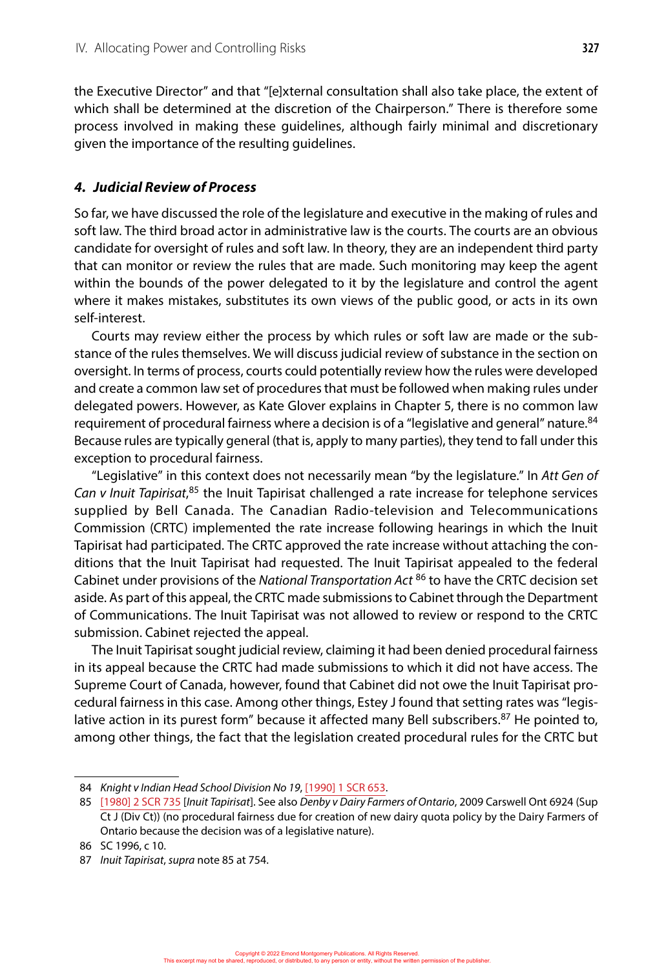the Executive Director" and that "[e]xternal consultation shall also take place, the extent of which shall be determined at the discretion of the Chairperson." There is therefore some process involved in making these guidelines, although fairly minimal and discretionary given the importance of the resulting guidelines.

#### *4. Judicial Review of Process*

So far, we have discussed the role of the legislature and executive in the making of rules and soft law. The third broad actor in administrative law is the courts. The courts are an obvious candidate for oversight of rules and soft law. In theory, they are an independent third party that can monitor or review the rules that are made. Such monitoring may keep the agent within the bounds of the power delegated to it by the legislature and control the agent where it makes mistakes, substitutes its own views of the public good, or acts in its own self-interest.

Courts may review either the process by which rules or soft law are made or the substance of the rules themselves. We will discuss judicial review of substance in the section on oversight. In terms of process, courts could potentially review how the rules were developed and create a common law set of procedures that must be followed when making rules under delegated powers. However, as Kate Glover explains in Chapter 5, there is no common law requirement of procedural fairness where a decision is of a "legislative and general" nature.<sup>84</sup> Because rules are typically general (that is, apply to many parties), they tend to fall under this exception to procedural fairness.

"Legislative" in this context does not necessarily mean "by the legislature." In *Att Gen of*  Can v Inuit Tapirisat,<sup>85</sup> the Inuit Tapirisat challenged a rate increase for telephone services supplied by Bell Canada. The Canadian Radio-television and Telecommunications Commission (CRTC) implemented the rate increase following hearings in which the Inuit Tapirisat had participated. The CRTC approved the rate increase without attaching the conditions that the Inuit Tapirisat had requested. The Inuit Tapirisat appealed to the federal Cabinet under provisions of the *National Transportation Act* 86 to have the CRTC decision set aside. As part of this appeal, the CRTC made submissions to Cabinet through the Department of Communications. The Inuit Tapirisat was not allowed to review or respond to the CRTC submission. Cabinet rejected the appeal.

The Inuit Tapirisat sought judicial review, claiming it had been denied procedural fairness in its appeal because the CRTC had made submissions to which it did not have access. The Supreme Court of Canada, however, found that Cabinet did not owe the Inuit Tapirisat procedural fairness in this case. Among other things, Estey J found that setting rates was "legislative action in its purest form" because it affected many Bell subscribers.<sup>87</sup> He pointed to, among other things, the fact that the legislation created procedural rules for the CRTC but

<sup>84</sup> *Knight v Indian Head School Division No 19*, [\[1990\] 1 SCR 653](https://www.canlii.org/en/ca/scc/doc/1990/1990canlii138/1990canlii138.html?autocompleteStr=Knight v Indian Head School Division No. 19%2C &autocompletePos=1).

<sup>85</sup> [\[1980\] 2 SCR 735](https://www.canlii.org/en/ca/scc/doc/1980/1980canlii21/1980canlii21.html?autocompleteStr=Att Gen of Can v Inuit Tapirisat et al&autocompletePos=1) [*Inuit Tapirisat*]. See also *Denby v Dairy Farmers of Ontario*, 2009 Carswell Ont 6924 (Sup Ct J (Div Ct)) (no procedural fairness due for creation of new dairy quota policy by the Dairy Farmers of Ontario because the decision was of a legislative nature).

<sup>86</sup> SC 1996, c 10.

<sup>87</sup> *Inuit Tapirisat*, *supra* note 85 at 754.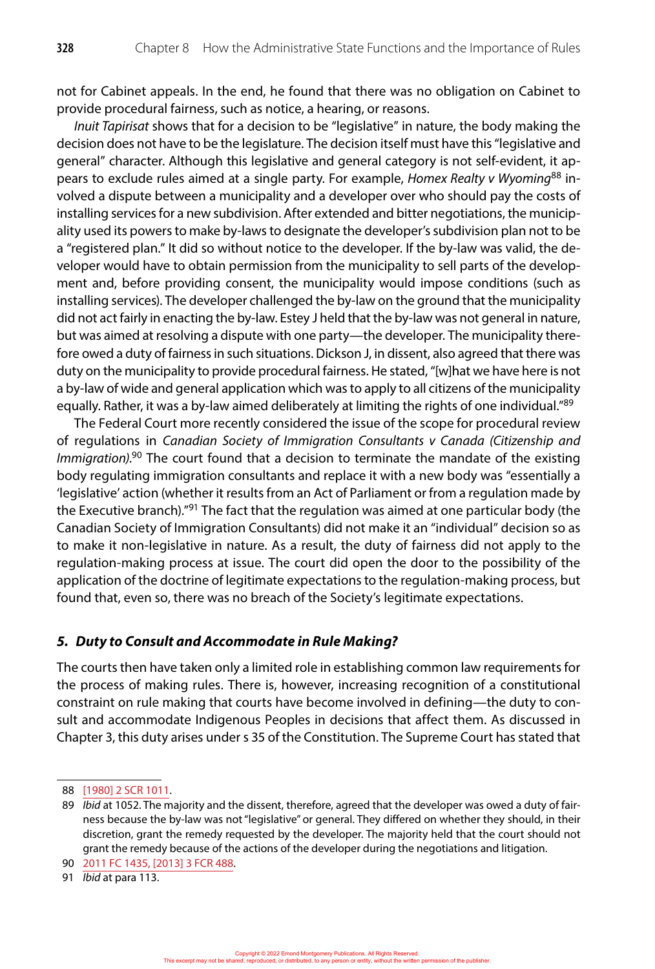not for Cabinet appeals. In the end, he found that there was no obligation on Cabinet to provide procedural fairness, such as notice, a hearing, or reasons.

*Inuit Tapirisat* shows that for a decision to be "legislative" in nature, the body making the decision does not have to be the legislature. The decision itself must have this "legislative and general" character. Although this legislative and general category is not self-evident, it appears to exclude rules aimed at a single party. For example, *Homex Realty v Wyoming*88 involved a dispute between a municipality and a developer over who should pay the costs of installing services for a new subdivision. After extended and bitter negotiations, the municipality used its powers to make by-laws to designate the developer's subdivision plan not to be a "registered plan." It did so without notice to the developer. If the by-law was valid, the developer would have to obtain permission from the municipality to sell parts of the development and, before providing consent, the municipality would impose conditions (such as installing services). The developer challenged the by-law on the ground that the municipality did not act fairly in enacting the by-law. Estey J held that the by-law was not general in nature, but was aimed at resolving a dispute with one party—the developer. The municipality therefore owed a duty of fairness in such situations. Dickson J, in dissent, also agreed that there was duty on the municipality to provide procedural fairness. He stated, "[w]hat we have here is not a by-law of wide and general application which was to apply to all citizens of the municipality equally. Rather, it was a by-law aimed deliberately at limiting the rights of one individual."<sup>89</sup>

The Federal Court more recently considered the issue of the scope for procedural review of regulations in *Canadian Society of Immigration Consultants v Canada (Citizenship and*  Immigration).<sup>90</sup> The court found that a decision to terminate the mandate of the existing body regulating immigration consultants and replace it with a new body was "essentially a 'legislative' action (whether it results from an Act of Parliament or from a regulation made by the Executive branch)."<sup>91</sup> The fact that the regulation was aimed at one particular body (the Canadian Society of Immigration Consultants) did not make it an "individual" decision so as to make it non-legislative in nature. As a result, the duty of fairness did not apply to the regulation-making process at issue. The court did open the door to the possibility of the application of the doctrine of legitimate expectations to the regulation-making process, but found that, even so, there was no breach of the Society's legitimate expectations.

#### *5. Duty to Consult and Accommodate in Rule Making?*

The courts then have taken only a limited role in establishing common law requirements for the process of making rules. There is, however, increasing recognition of a constitutional constraint on rule making that courts have become involved in defining—the duty to consult and accommodate Indigenous Peoples in decisions that affect them. As discussed in Chapter 3, this duty arises under s 35 of the Constitution. The Supreme Court has stated that

<sup>88</sup> [\[1980\] 2 SCR 1011](https://www.canlii.org/en/ca/scc/doc/1980/1980canlii55/1980canlii55.html?autocompleteStr=Homex Realty v Wyoming%2C %5B1980%5D 2 SCR 1011.&autocompletePos=1).

<sup>89</sup> *Ibid* at 1052. The majority and the dissent, therefore, agreed that the developer was owed a duty of fairness because the by-law was not "legislative" or general. They differed on whether they should, in their discretion, grant the remedy requested by the developer. The majority held that the court should not grant the remedy because of the actions of the developer during the negotiations and litigation.

<sup>90</sup> [2011 FC 1435, \[2013\] 3 FCR 488](https://www.canlii.org/en/ca/fct/doc/2011/2011fc1435/2011fc1435.html?autocompleteStr=Canadian Society of Immigration Consultants v Canada (Citizenship and Immigration) &autocompletePos=1).

<sup>91</sup> *Ibid* at para 113.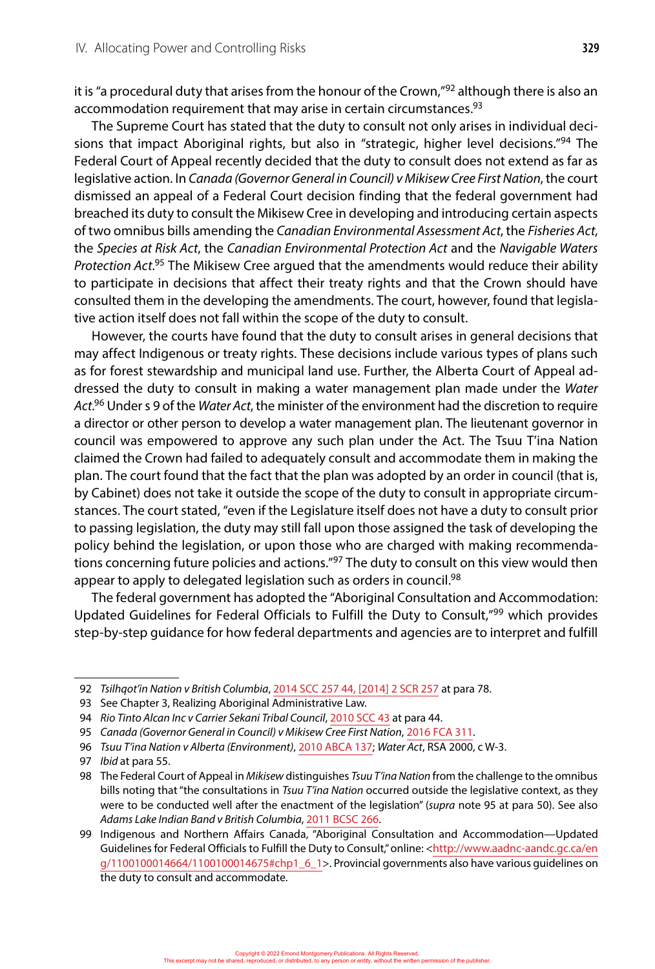it is "a procedural duty that arises from the honour of the Crown,"<sup>92</sup> although there is also an accommodation requirement that may arise in certain circumstances.<sup>93</sup>

The Supreme Court has stated that the duty to consult not only arises in individual decisions that impact Aboriginal rights, but also in "strategic, higher level decisions."<sup>94</sup> The Federal Court of Appeal recently decided that the duty to consult does not extend as far as legislative action. In *Canada (Governor General in Council) v Mikisew Cree First Nation*, the court dismissed an appeal of a Federal Court decision finding that the federal government had breached its duty to consult the Mikisew Cree in developing and introducing certain aspects of two omnibus bills amending the *Canadian Environmental Assessment Act*, the *Fisheries Act*, the *Species at Risk Act*, the *Canadian Environmental Protection Act* and the *Navigable Waters Protection Act*. 95 The Mikisew Cree argued that the amendments would reduce their ability to participate in decisions that affect their treaty rights and that the Crown should have consulted them in the developing the amendments. The court, however, found that legislative action itself does not fall within the scope of the duty to consult.

However, the courts have found that the duty to consult arises in general decisions that may affect Indigenous or treaty rights. These decisions include various types of plans such as for forest stewardship and municipal land use. Further, the Alberta Court of Appeal addressed the duty to consult in making a water management plan made under the *Water Act*. 96 Under s 9 of the *Water Act*, the minister of the environment had the discretion to require a director or other person to develop a water management plan. The lieutenant governor in council was empowered to approve any such plan under the Act. The Tsuu T'ina Nation claimed the Crown had failed to adequately consult and accommodate them in making the plan. The court found that the fact that the plan was adopted by an order in council (that is, by Cabinet) does not take it outside the scope of the duty to consult in appropriate circumstances. The court stated, "even if the Legislature itself does not have a duty to consult prior to passing legislation, the duty may still fall upon those assigned the task of developing the policy behind the legislation, or upon those who are charged with making recommendations concerning future policies and actions."<sup>97</sup> The duty to consult on this view would then appear to apply to delegated legislation such as orders in council.<sup>98</sup>

The federal government has adopted the "Aboriginal Consultation and Accommodation: Updated Guidelines for Federal Officials to Fulfill the Duty to Consult,"99 which provides step-by-step guidance for how federal departments and agencies are to interpret and fulfill

<sup>92</sup> *Tsilhqot'in Nation v British Columbia*, [2014 SCC 257 44, \[2014\] 2 SCR 257](https://www.canlii.org/en/ca/scc/doc/2014/2014scc44/2014scc44.html?autocompleteStr=Tsilhqot%E2%80%99in Nation v British Columbia&autocompletePos=1) at para 78.

<sup>93</sup> See Chapter 3, Realizing Aboriginal Administrative Law.

<sup>94</sup> *Rio Tinto Alcan Inc v Carrier Sekani Tribal Council*, [2010 SCC 43](https://www.canlii.org/en/ca/scc/doc/2010/2010scc43/2010scc43.html?autocompleteStr=Rio Tinto Alcan Inc v Carrier Sekani Tribal Council&autocompletePos=1) at para 44.

<sup>95</sup> *Canada (Governor General in Council) v Mikisew Cree First Nation*, [2016 FCA 311](https://www.canlii.org/en/ca/fca/doc/2016/2016fca311/2016fca311.html?autocompleteStr=Canada (Governor General in Council) v Mikisew Cree First Nation&autocompletePos=1).

<sup>96</sup> *Tsuu T'ina Nation v Alberta (Environment)*, [2010 ABCA 137](https://www.canlii.org/en/ab/abca/doc/2010/2010abca137/2010abca137.html?autocompleteStr=Tsuu T%E2%80%99ina Nation v Alberta (Environment&autocompletePos=1); *Water Act*, RSA 2000, c W-3.

<sup>97</sup> *Ibid* at para 55.

<sup>98</sup> The Federal Court of Appeal in *Mikisew* distinguishes *Tsuu T'ina Nation* from the challenge to the omnibus bills noting that "the consultations in *Tsuu T'ina Nation* occurred outside the legislative context, as they were to be conducted well after the enactment of the legislation" (*supra* note 95 at para 50). See also *Adams Lake Indian Band v British Columbia*, [2011 BCSC 266](https://www.canlii.org/en/bc/bcsc/doc/2011/2011bcsc266/2011bcsc266.html?autocompleteStr=Adams Lake Indian Band v British Columbia%2C &autocompletePos=1).

<sup>99</sup> Indigenous and Northern Affairs Canada, "Aboriginal Consultation and Accommodation—Updated Guidelines for Federal Officials to Fulfill the Duty to Consult," online: <[http://www.aadnc-aandc.gc.ca/en](http://www.aadnc-aandc.gc.ca/eng/1100100014664/1100100014675) [g/1100100014664/1100100014675#chp1\\_6\\_1>](http://www.aadnc-aandc.gc.ca/eng/1100100014664/1100100014675). Provincial governments also have various guidelines on the duty to consult and accommodate.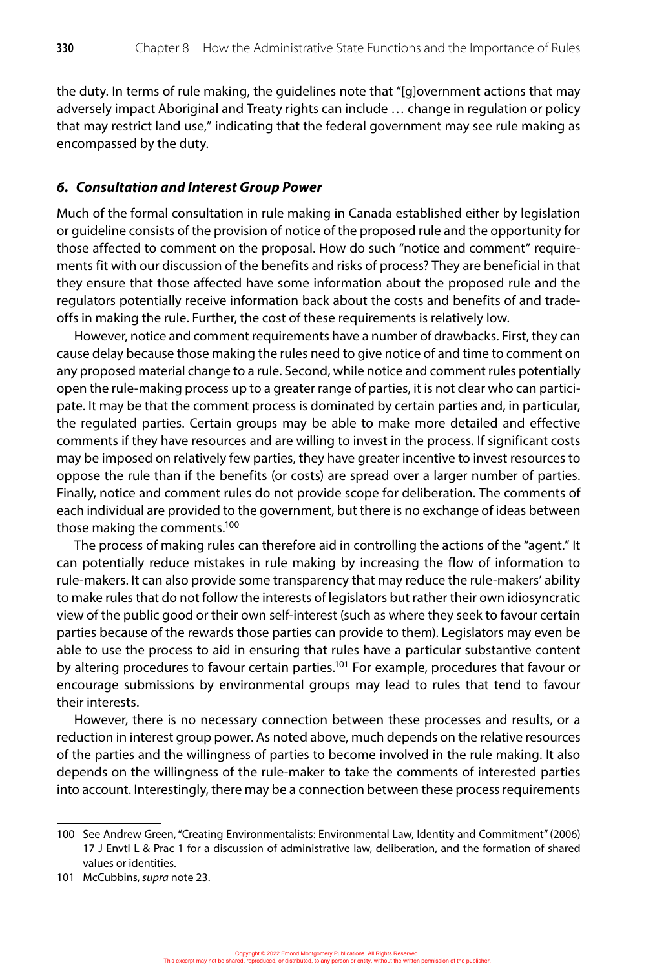the duty. In terms of rule making, the guidelines note that "[g]overnment actions that may adversely impact Aboriginal and Treaty rights can include … change in regulation or policy that may restrict land use," indicating that the federal government may see rule making as encompassed by the duty.

#### *6. Consultation and Interest Group Power*

Much of the formal consultation in rule making in Canada established either by legislation or guideline consists of the provision of notice of the proposed rule and the opportunity for those affected to comment on the proposal. How do such "notice and comment" requirements fit with our discussion of the benefits and risks of process? They are beneficial in that they ensure that those affected have some information about the proposed rule and the regulators potentially receive information back about the costs and benefits of and tradeoffs in making the rule. Further, the cost of these requirements is relatively low.

However, notice and comment requirements have a number of drawbacks. First, they can cause delay because those making the rules need to give notice of and time to comment on any proposed material change to a rule. Second, while notice and comment rules potentially open the rule-making process up to a greater range of parties, it is not clear who can participate. It may be that the comment process is dominated by certain parties and, in particular, the regulated parties. Certain groups may be able to make more detailed and effective comments if they have resources and are willing to invest in the process. If significant costs may be imposed on relatively few parties, they have greater incentive to invest resources to oppose the rule than if the benefits (or costs) are spread over a larger number of parties. Finally, notice and comment rules do not provide scope for deliberation. The comments of each individual are provided to the government, but there is no exchange of ideas between those making the comments.<sup>100</sup>

The process of making rules can therefore aid in controlling the actions of the "agent." It can potentially reduce mistakes in rule making by increasing the flow of information to rule-makers. It can also provide some transparency that may reduce the rule-makers' ability to make rules that do not follow the interests of legislators but rather their own idiosyncratic view of the public good or their own self-interest (such as where they seek to favour certain parties because of the rewards those parties can provide to them). Legislators may even be able to use the process to aid in ensuring that rules have a particular substantive content by altering procedures to favour certain parties.<sup>101</sup> For example, procedures that favour or encourage submissions by environmental groups may lead to rules that tend to favour their interests.

However, there is no necessary connection between these processes and results, or a reduction in interest group power. As noted above, much depends on the relative resources of the parties and the willingness of parties to become involved in the rule making. It also depends on the willingness of the rule-maker to take the comments of interested parties into account. Interestingly, there may be a connection between these process requirements

<sup>100</sup> See Andrew Green, "Creating Environmentalists: Environmental Law, Identity and Commitment" (2006) 17 J Envtl L & Prac 1 for a discussion of administrative law, deliberation, and the formation of shared values or identities.

<sup>101</sup> McCubbins, *supra* note 23.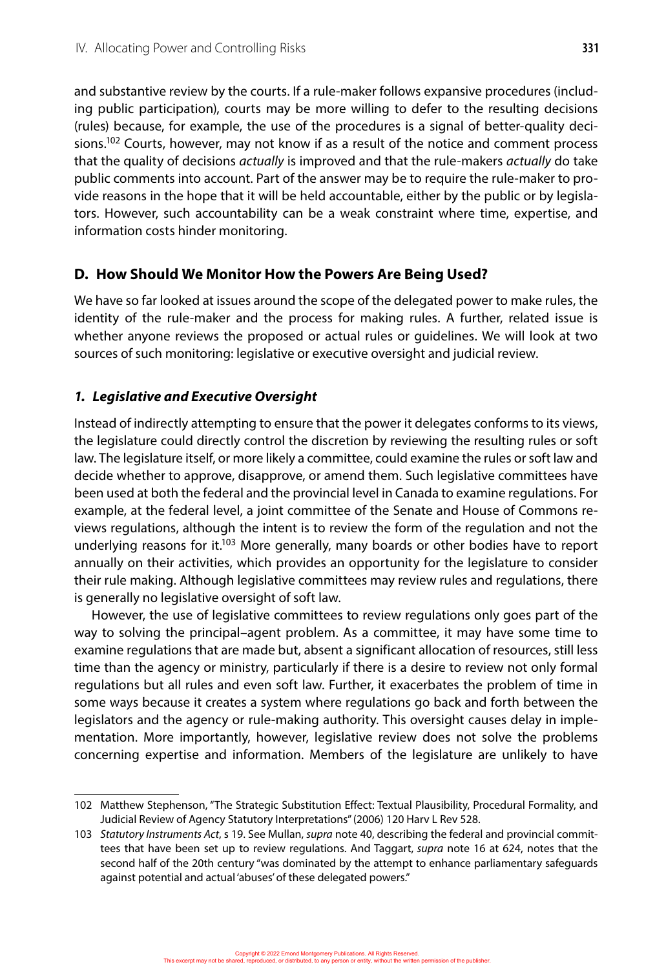and substantive review by the courts. If a rule-maker follows expansive procedures (including public participation), courts may be more willing to defer to the resulting decisions (rules) because, for example, the use of the procedures is a signal of better-quality decisions.<sup>102</sup> Courts, however, may not know if as a result of the notice and comment process that the quality of decisions *actually* is improved and that the rule-makers *actually* do take public comments into account. Part of the answer may be to require the rule-maker to provide reasons in the hope that it will be held accountable, either by the public or by legislators. However, such accountability can be a weak constraint where time, expertise, and information costs hinder monitoring.

## **D. How Should We Monitor How the Powers Are Being Used?**

We have so far looked at issues around the scope of the delegated power to make rules, the identity of the rule-maker and the process for making rules. A further, related issue is whether anyone reviews the proposed or actual rules or guidelines. We will look at two sources of such monitoring: legislative or executive oversight and judicial review.

## *1. Legislative and Executive Oversight*

Instead of indirectly attempting to ensure that the power it delegates conforms to its views, the legislature could directly control the discretion by reviewing the resulting rules or soft law. The legislature itself, or more likely a committee, could examine the rules or soft law and decide whether to approve, disapprove, or amend them. Such legislative committees have been used at both the federal and the provincial level in Canada to examine regulations. For example, at the federal level, a joint committee of the Senate and House of Commons reviews regulations, although the intent is to review the form of the regulation and not the underlying reasons for it.<sup>103</sup> More generally, many boards or other bodies have to report annually on their activities, which provides an opportunity for the legislature to consider their rule making. Although legislative committees may review rules and regulations, there is generally no legislative oversight of soft law.

However, the use of legislative committees to review regulations only goes part of the way to solving the principal–agent problem. As a committee, it may have some time to examine regulations that are made but, absent a significant allocation of resources, still less time than the agency or ministry, particularly if there is a desire to review not only formal regulations but all rules and even soft law. Further, it exacerbates the problem of time in some ways because it creates a system where regulations go back and forth between the legislators and the agency or rule-making authority. This oversight causes delay in implementation. More importantly, however, legislative review does not solve the problems concerning expertise and information. Members of the legislature are unlikely to have

<sup>102</sup> Matthew Stephenson, "The Strategic Substitution Effect: Textual Plausibility, Procedural Formality, and Judicial Review of Agency Statutory Interpretations" (2006) 120 Harv L Rev 528.

<sup>103</sup> *Statutory Instruments Act*, s 19. See Mullan, *supra* note 40, describing the federal and provincial committees that have been set up to review regulations. And Taggart, *supra* note 16 at 624, notes that the second half of the 20th century "was dominated by the attempt to enhance parliamentary safeguards against potential and actual 'abuses' of these delegated powers."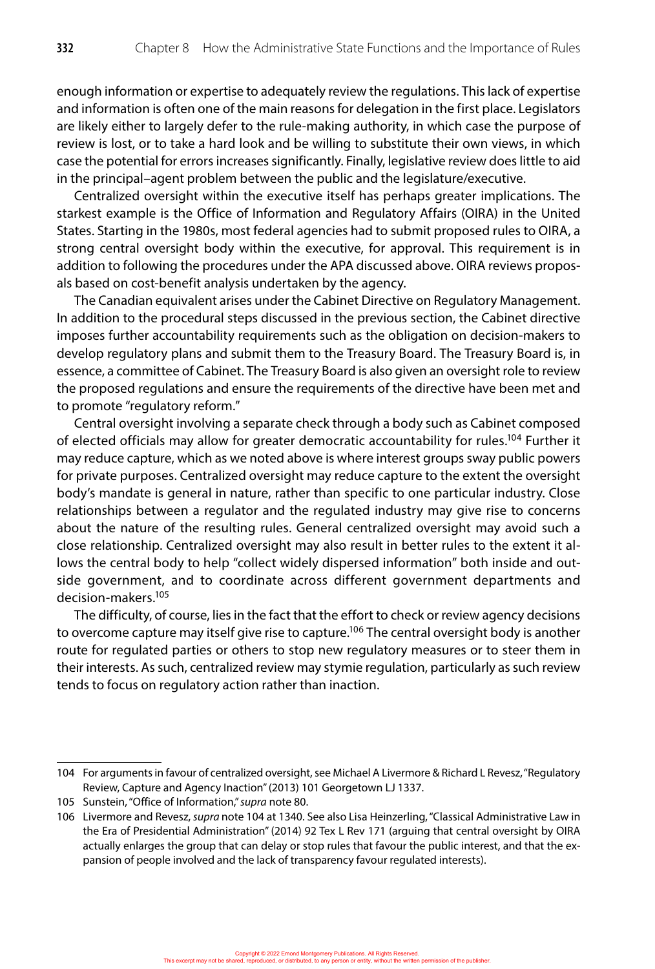enough information or expertise to adequately review the regulations. This lack of expertise and information is often one of the main reasons for delegation in the first place. Legislators are likely either to largely defer to the rule-making authority, in which case the purpose of review is lost, or to take a hard look and be willing to substitute their own views, in which case the potential for errors increases significantly. Finally, legislative review does little to aid in the principal–agent problem between the public and the legislature/executive.

Centralized oversight within the executive itself has perhaps greater implications. The starkest example is the Office of Information and Regulatory Affairs (OIRA) in the United States. Starting in the 1980s, most federal agencies had to submit proposed rules to OIRA, a strong central oversight body within the executive, for approval. This requirement is in addition to following the procedures under the APA discussed above. OIRA reviews proposals based on cost-benefit analysis undertaken by the agency.

The Canadian equivalent arises under the Cabinet Directive on Regulatory Management. In addition to the procedural steps discussed in the previous section, the Cabinet directive imposes further accountability requirements such as the obligation on decision-makers to develop regulatory plans and submit them to the Treasury Board. The Treasury Board is, in essence, a committee of Cabinet. The Treasury Board is also given an oversight role to review the proposed regulations and ensure the requirements of the directive have been met and to promote "regulatory reform."

Central oversight involving a separate check through a body such as Cabinet composed of elected officials may allow for greater democratic accountability for rules.<sup>104</sup> Further it may reduce capture, which as we noted above is where interest groups sway public powers for private purposes. Centralized oversight may reduce capture to the extent the oversight body's mandate is general in nature, rather than specific to one particular industry. Close relationships between a regulator and the regulated industry may give rise to concerns about the nature of the resulting rules. General centralized oversight may avoid such a close relationship. Centralized oversight may also result in better rules to the extent it allows the central body to help "collect widely dispersed information" both inside and outside government, and to coordinate across different government departments and decision-makers.105

The difficulty, of course, lies in the fact that the effort to check or review agency decisions to overcome capture may itself give rise to capture.<sup>106</sup> The central oversight body is another route for regulated parties or others to stop new regulatory measures or to steer them in their interests. As such, centralized review may stymie regulation, particularly as such review tends to focus on regulatory action rather than inaction.

<sup>104</sup> For arguments in favour of centralized oversight, see Michael A Livermore & Richard L Revesz, "Regulatory Review, Capture and Agency Inaction" (2013) 101 Georgetown LJ 1337.

<sup>105</sup> Sunstein, "Office of Information," *supra* note 80.

<sup>106</sup> Livermore and Revesz, *supra* note 104 at 1340. See also Lisa Heinzerling, "Classical Administrative Law in the Era of Presidential Administration" (2014) 92 Tex L Rev 171 (arguing that central oversight by OIRA actually enlarges the group that can delay or stop rules that favour the public interest, and that the expansion of people involved and the lack of transparency favour regulated interests).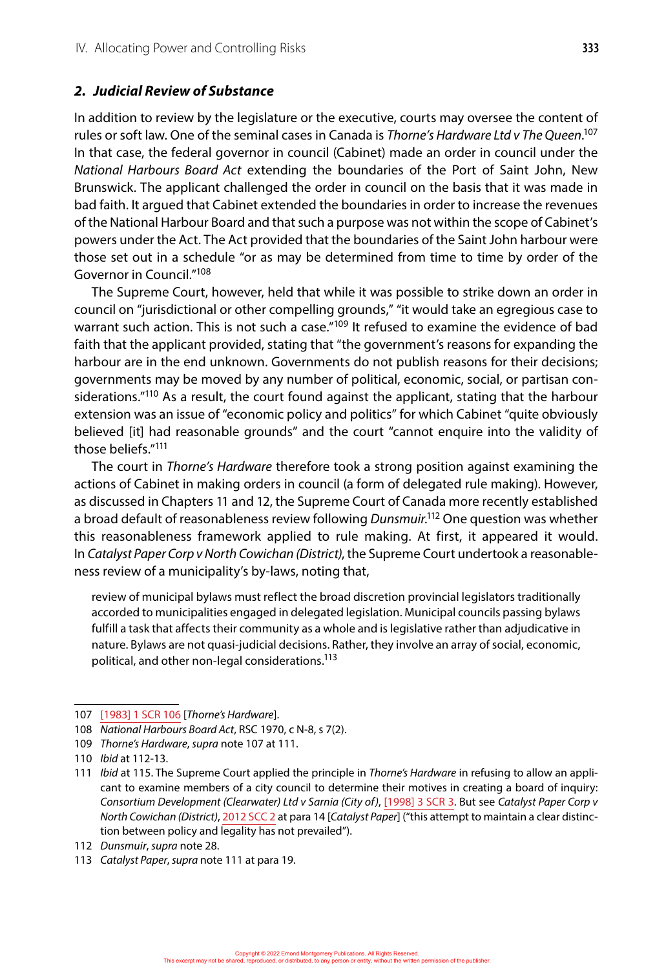#### *2. Judicial Review of Substance*

In addition to review by the legislature or the executive, courts may oversee the content of rules or soft law. One of the seminal cases in Canada is *Thorne's Hardware Ltd v The Queen*. 107 In that case, the federal governor in council (Cabinet) made an order in council under the *National Harbours Board Act* extending the boundaries of the Port of Saint John, New Brunswick. The applicant challenged the order in council on the basis that it was made in bad faith. It argued that Cabinet extended the boundaries in order to increase the revenues of the National Harbour Board and that such a purpose was not within the scope of Cabinet's powers under the Act. The Act provided that the boundaries of the Saint John harbour were those set out in a schedule "or as may be determined from time to time by order of the Governor in Council."108

The Supreme Court, however, held that while it was possible to strike down an order in council on "jurisdictional or other compelling grounds," "it would take an egregious case to warrant such action. This is not such a case."<sup>109</sup> It refused to examine the evidence of bad faith that the applicant provided, stating that "the government's reasons for expanding the harbour are in the end unknown. Governments do not publish reasons for their decisions; governments may be moved by any number of political, economic, social, or partisan considerations."<sup>110</sup> As a result, the court found against the applicant, stating that the harbour extension was an issue of "economic policy and politics" for which Cabinet "quite obviously believed [it] had reasonable grounds" and the court "cannot enquire into the validity of those beliefs."111

The court in *Thorne's Hardware* therefore took a strong position against examining the actions of Cabinet in making orders in council (a form of delegated rule making). However, as discussed in Chapters 11 and 12, the Supreme Court of Canada more recently established a broad default of reasonableness review following *Dunsmuir*. 112 One question was whether this reasonableness framework applied to rule making. At first, it appeared it would. In *Catalyst Paper Corp v North Cowichan (District)*, the Supreme Court undertook a reasonableness review of a municipality's by-laws, noting that,

review of municipal bylaws must reflect the broad discretion provincial legislators traditionally accorded to municipalities engaged in delegated legislation. Municipal councils passing bylaws fulfill a task that affects their community as a whole and is legislative rather than adjudicative in nature. Bylaws are not quasi-judicial decisions. Rather, they involve an array of social, economic, political, and other non-legal considerations.<sup>113</sup>

<sup>107</sup> [\[1983\] 1 SCR 106](https://www.canlii.org/en/ca/scc/doc/1983/1983canlii20/1983canlii20.html?autocompleteStr=Thorne%27s Hardware Ltd v The Queen%2C %5B1983%5D 1 SCR 106 &autocompletePos=1) [*Thorne's Hardware*].

<sup>108</sup> *National Harbours Board Act*, RSC 1970, c N-8, s 7(2).

<sup>109</sup> *Thorne's Hardware*, *supra* note 107 at 111.

<sup>110</sup> *Ibid* at 112-13.

<sup>111</sup> *Ibid* at 115. The Supreme Court applied the principle in *Thorne's Hardware* in refusing to allow an applicant to examine members of a city council to determine their motives in creating a board of inquiry: *Consortium Development (Clearwater) Ltd v Sarnia (City of)*, [\[1998\] 3 SCR 3](https://www.canlii.org/en/ca/scc/doc/1998/1998canlii762/1998canlii762.html?autocompleteStr=Consortium Development (Clearwater) Ltd v Sarnia (City of&autocompletePos=1). But see *Catalyst Paper Corp v North Cowichan (District)*, [2012 SCC 2](https://www.canlii.org/en/ca/scc/doc/2012/2012scc2/2012scc2.html?autocompleteStr=Catalyst Paper Corp v North Cowichan &autocompletePos=1) at para 14 [*Catalyst Paper*] ("this attempt to maintain a clear distinction between policy and legality has not prevailed").

<sup>112</sup> *Dunsmuir*, *supra* note 28.

<sup>113</sup> *Catalyst Paper*, *supra* note 111 at para 19.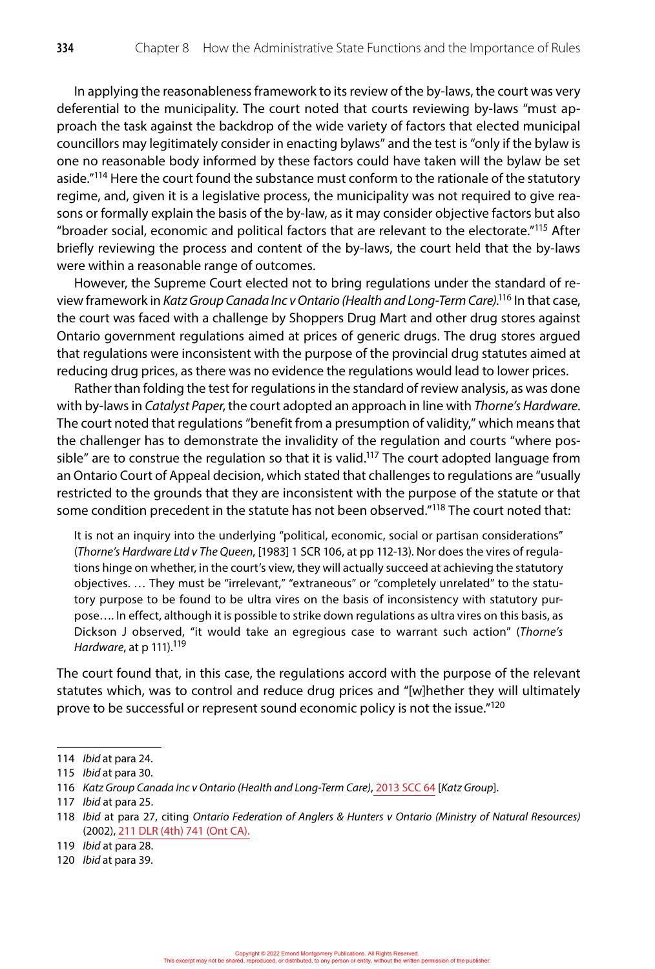In applying the reasonableness framework to its review of the by-laws, the court was very deferential to the municipality. The court noted that courts reviewing by-laws "must approach the task against the backdrop of the wide variety of factors that elected municipal councillors may legitimately consider in enacting bylaws" and the test is "only if the bylaw is one no reasonable body informed by these factors could have taken will the bylaw be set aside."<sup>114</sup> Here the court found the substance must conform to the rationale of the statutory regime, and, given it is a legislative process, the municipality was not required to give reasons or formally explain the basis of the by-law, as it may consider objective factors but also "broader social, economic and political factors that are relevant to the electorate."115 After briefly reviewing the process and content of the by-laws, the court held that the by-laws were within a reasonable range of outcomes.

However, the Supreme Court elected not to bring regulations under the standard of review framework in *Katz Group Canada Inc v Ontario (Health and Long-Term Care)*. 116 In that case, the court was faced with a challenge by Shoppers Drug Mart and other drug stores against Ontario government regulations aimed at prices of generic drugs. The drug stores argued that regulations were inconsistent with the purpose of the provincial drug statutes aimed at reducing drug prices, as there was no evidence the regulations would lead to lower prices.

Rather than folding the test for regulations in the standard of review analysis, as was done with by-laws in *Catalyst Paper*, the court adopted an approach in line with *Thorne's Hardware*. The court noted that regulations "benefit from a presumption of validity," which means that the challenger has to demonstrate the invalidity of the regulation and courts "where possible" are to construe the regulation so that it is valid.<sup>117</sup> The court adopted language from an Ontario Court of Appeal decision, which stated that challenges to regulations are "usually restricted to the grounds that they are inconsistent with the purpose of the statute or that some condition precedent in the statute has not been observed."<sup>118</sup> The court noted that:

It is not an inquiry into the underlying "political, economic, social or partisan considerations" (*Thorne's Hardware Ltd v The Queen*, [1983] 1 SCR 106, at pp 112-13). Nor does the vires of regulations hinge on whether, in the court's view, they will actually succeed at achieving the statutory objectives. … They must be "irrelevant," "extraneous" or "completely unrelated" to the statutory purpose to be found to be ultra vires on the basis of inconsistency with statutory purpose…. In effect, although it is possible to strike down regulations as ultra vires on this basis, as Dickson J observed, "it would take an egregious case to warrant such action" (*Thorne's Hardware*, at p 111).<sup>119</sup>

The court found that, in this case, the regulations accord with the purpose of the relevant statutes which, was to control and reduce drug prices and "[w]hether they will ultimately prove to be successful or represent sound economic policy is not the issue."120

<sup>114</sup> *Ibid* at para 24.

<sup>115</sup> *Ibid* at para 30.

<sup>116</sup> *Katz Group Canada Inc v Ontario (Health and Long-Term Care)*, [2013 SCC 64](https://www.canlii.org/en/ca/scc/doc/2013/2013scc64/2013scc64.html?autocompleteStr=Katz Group Canada Inc v Ontario (Health and Long-Term Care&autocompletePos=1) [*Katz Group*].

<sup>117</sup> *Ibid* at para 25.

<sup>118</sup> *Ibid* at para 27, citing *Ontario Federation of Anglers & Hunters v Ontario (Ministry of Natural Resources)* (2002), [211 DLR \(4th\) 741 \(Ont CA\).](https://www.canlii.org/en/on/onca/doc/2002/2002canlii41606/2002canlii41606.html?autocompleteStr=Ontario Federation of Anglers %26 Hunters v Ontario &autocompletePos=1)

<sup>119</sup> *Ibid* at para 28.

<sup>120</sup> *Ibid* at para 39.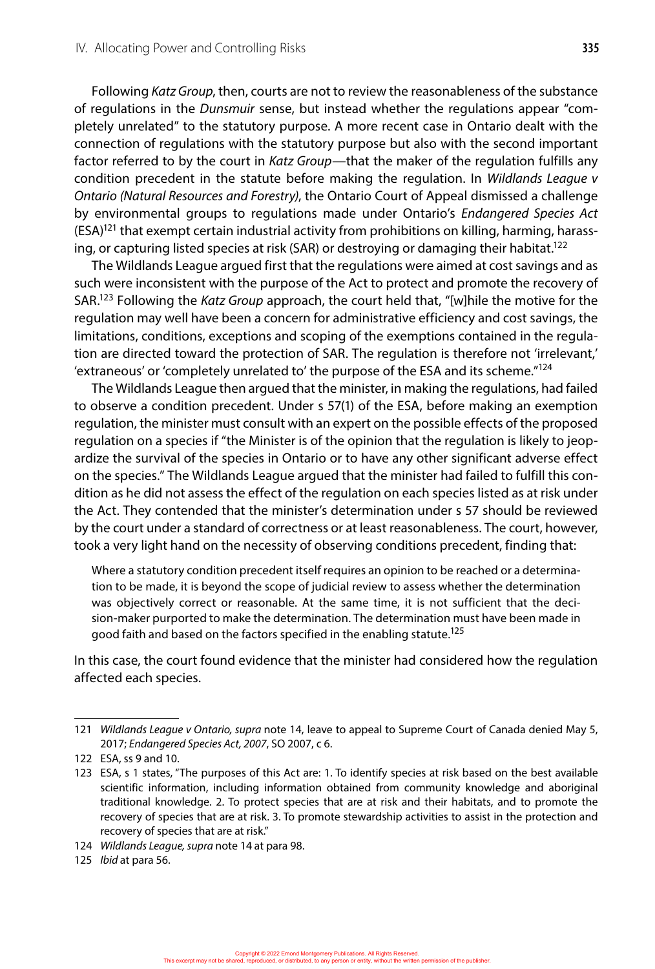Following *Katz Group*, then, courts are not to review the reasonableness of the substance of regulations in the *Dunsmuir* sense, but instead whether the regulations appear "completely unrelated" to the statutory purpose. A more recent case in Ontario dealt with the connection of regulations with the statutory purpose but also with the second important factor referred to by the court in *Katz Group*—that the maker of the regulation fulfills any condition precedent in the statute before making the regulation. In *Wildlands League v Ontario (Natural Resources and Forestry)*, the Ontario Court of Appeal dismissed a challenge by environmental groups to regulations made under Ontario's *Endangered Species Act*   $(ESA)^{121}$  that exempt certain industrial activity from prohibitions on killing, harming, harassing, or capturing listed species at risk (SAR) or destroying or damaging their habitat.<sup>122</sup>

The Wildlands League argued first that the regulations were aimed at cost savings and as such were inconsistent with the purpose of the Act to protect and promote the recovery of SAR.123 Following the *Katz Group* approach, the court held that, "[w]hile the motive for the regulation may well have been a concern for administrative efficiency and cost savings, the limitations, conditions, exceptions and scoping of the exemptions contained in the regulation are directed toward the protection of SAR. The regulation is therefore not 'irrelevant,' 'extraneous' or 'completely unrelated to' the purpose of the ESA and its scheme."124

The Wildlands League then argued that the minister, in making the regulations, had failed to observe a condition precedent. Under s 57(1) of the ESA, before making an exemption regulation, the minister must consult with an expert on the possible effects of the proposed regulation on a species if "the Minister is of the opinion that the regulation is likely to jeopardize the survival of the species in Ontario or to have any other significant adverse effect on the species." The Wildlands League argued that the minister had failed to fulfill this condition as he did not assess the effect of the regulation on each species listed as at risk under the Act. They contended that the minister's determination under s 57 should be reviewed by the court under a standard of correctness or at least reasonableness. The court, however, took a very light hand on the necessity of observing conditions precedent, finding that:

Where a statutory condition precedent itself requires an opinion to be reached or a determination to be made, it is beyond the scope of judicial review to assess whether the determination was objectively correct or reasonable. At the same time, it is not sufficient that the decision-maker purported to make the determination. The determination must have been made in good faith and based on the factors specified in the enabling statute.<sup>125</sup>

In this case, the court found evidence that the minister had considered how the regulation affected each species.

<sup>121</sup> *Wildlands League v Ontario, supra* note 14, leave to appeal to Supreme Court of Canada denied May 5, 2017; *Endangered Species Act, 2007*, SO 2007, c 6.

<sup>122</sup> ESA, ss 9 and 10.

<sup>123</sup> ESA, s 1 states, "The purposes of this Act are: 1. To identify species at risk based on the best available scientific information, including information obtained from community knowledge and aboriginal traditional knowledge. 2. To protect species that are at risk and their habitats, and to promote the recovery of species that are at risk. 3. To promote stewardship activities to assist in the protection and recovery of species that are at risk."

<sup>124</sup> *Wildlands League, supra* note 14 at para 98.

<sup>125</sup> *Ibid* at para 56.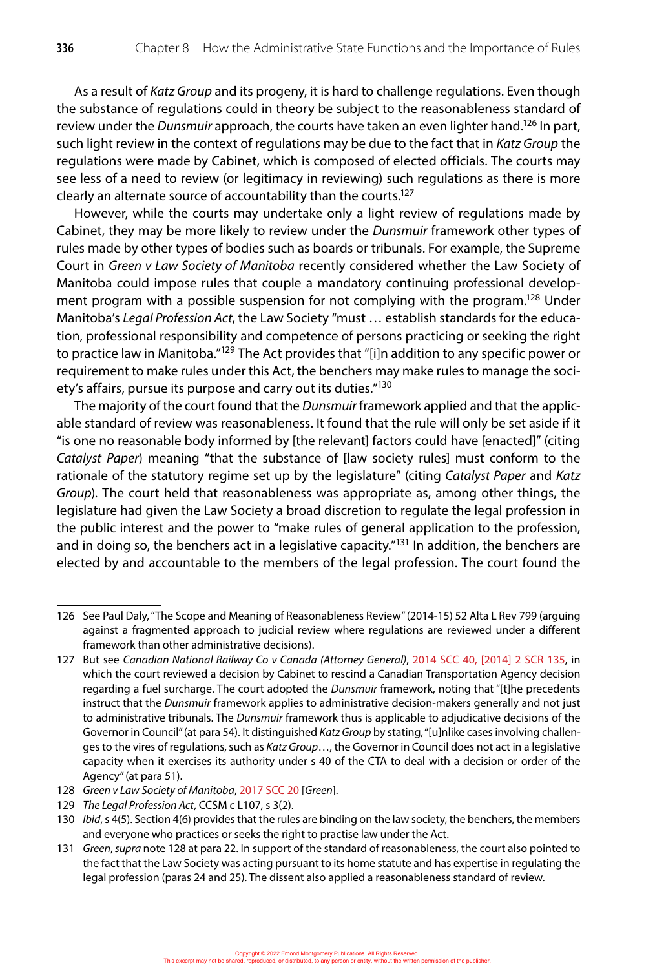As a result of *Katz Group* and its progeny, it is hard to challenge regulations. Even though the substance of regulations could in theory be subject to the reasonableness standard of review under the *Dunsmuir* approach, the courts have taken an even lighter hand.126 In part, such light review in the context of regulations may be due to the fact that in *Katz Group* the regulations were made by Cabinet, which is composed of elected officials. The courts may see less of a need to review (or legitimacy in reviewing) such regulations as there is more clearly an alternate source of accountability than the courts.127

However, while the courts may undertake only a light review of regulations made by Cabinet, they may be more likely to review under the *Dunsmuir* framework other types of rules made by other types of bodies such as boards or tribunals. For example, the Supreme Court in *Green v Law Society of Manitoba* recently considered whether the Law Society of Manitoba could impose rules that couple a mandatory continuing professional development program with a possible suspension for not complying with the program.<sup>128</sup> Under Manitoba's *Legal Profession Act*, the Law Society "must … establish standards for the education, professional responsibility and competence of persons practicing or seeking the right to practice law in Manitoba."<sup>129</sup> The Act provides that "[i]n addition to any specific power or requirement to make rules under this Act, the benchers may make rules to manage the society's affairs, pursue its purpose and carry out its duties."<sup>130</sup>

The majority of the court found that the *Dunsmuir* framework applied and that the applicable standard of review was reasonableness. It found that the rule will only be set aside if it "is one no reasonable body informed by [the relevant] factors could have [enacted]" (citing *Catalyst Paper*) meaning "that the substance of [law society rules] must conform to the rationale of the statutory regime set up by the legislature" (citing *Catalyst Paper* and *Katz Group*). The court held that reasonableness was appropriate as, among other things, the legislature had given the Law Society a broad discretion to regulate the legal profession in the public interest and the power to "make rules of general application to the profession, and in doing so, the benchers act in a legislative capacity."<sup>131</sup> In addition, the benchers are elected by and accountable to the members of the legal profession. The court found the

<sup>126</sup> See Paul Daly, "The Scope and Meaning of Reasonableness Review" (2014-15) 52 Alta L Rev 799 (arguing against a fragmented approach to judicial review where regulations are reviewed under a different framework than other administrative decisions).

<sup>127</sup> But see *Canadian National Railway Co v Canada (Attorney General)*, [2014 SCC 40, \[2014\] 2 SCR 135](https://www.canlii.org/en/ca/scc/doc/2014/2014scc40/2014scc40.html?autocompleteStr=Canadian National Railway Co v Canada&autocompletePos=2), in which the court reviewed a decision by Cabinet to rescind a Canadian Transportation Agency decision regarding a fuel surcharge. The court adopted the *Dunsmuir* framework, noting that "[t]he precedents instruct that the *Dunsmuir* framework applies to administrative decision-makers generally and not just to administrative tribunals. The *Dunsmuir* framework thus is applicable to adjudicative decisions of the Governor in Council" (at para 54). It distinguished *Katz Group* by stating, "[u]nlike cases involving challenges to the vires of regulations, such as *Katz Group*…, the Governor in Council does not act in a legislative capacity when it exercises its authority under s 40 of the CTA to deal with a decision or order of the Agency" (at para 51).

<sup>128</sup> *Green v Law Society of Manitoba*, [2017 SCC 20](https://www.canlii.org/en/ca/scc/doc/2017/2017scc20/2017scc20.html?autocompleteStr=Green v Law Society of Manitoba&autocompletePos=1) [*Green*].

<sup>129</sup> *The Legal Profession Act*, CCSM c L107, s 3(2).

<sup>130</sup> *Ibid*, s 4(5). Section 4(6) provides that the rules are binding on the law society, the benchers, the members and everyone who practices or seeks the right to practise law under the Act.

<sup>131</sup> *Green*, *supra* note 128 at para 22. In support of the standard of reasonableness, the court also pointed to the fact that the Law Society was acting pursuant to its home statute and has expertise in regulating the legal profession (paras 24 and 25). The dissent also applied a reasonableness standard of review.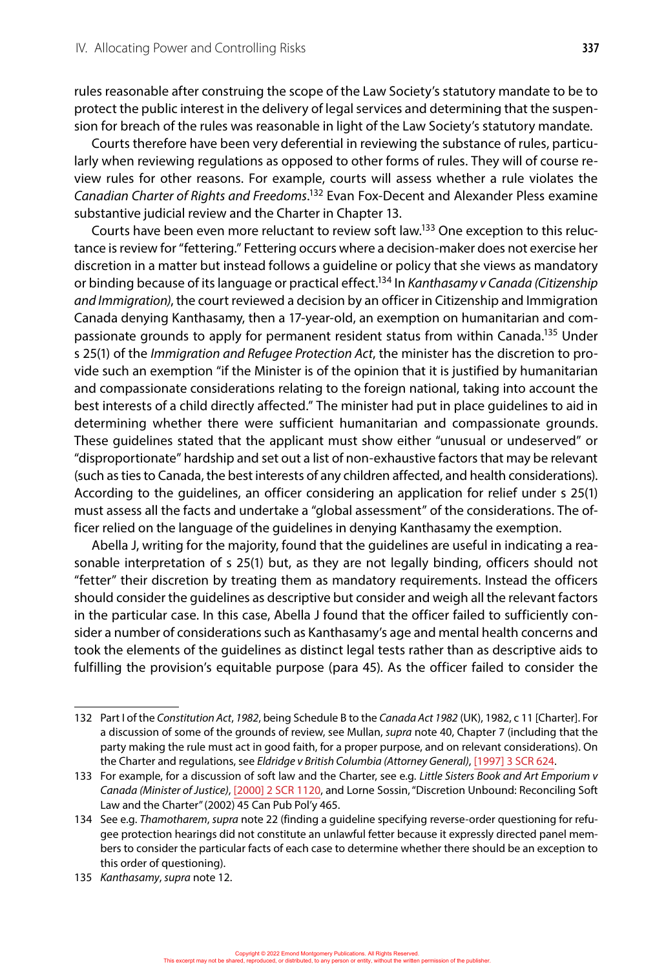rules reasonable after construing the scope of the Law Society's statutory mandate to be to protect the public interest in the delivery of legal services and determining that the suspension for breach of the rules was reasonable in light of the Law Society's statutory mandate.

Courts therefore have been very deferential in reviewing the substance of rules, particularly when reviewing regulations as opposed to other forms of rules. They will of course review rules for other reasons. For example, courts will assess whether a rule violates the *Canadian Charter of Rights and Freedoms*. 132 Evan Fox-Decent and Alexander Pless examine substantive judicial review and the Charter in Chapter 13.

Courts have been even more reluctant to review soft law.<sup>133</sup> One exception to this reluctance is review for "fettering." Fettering occurs where a decision-maker does not exercise her discretion in a matter but instead follows a guideline or policy that she views as mandatory or binding because of its language or practical effect.134 In *Kanthasamy v Canada (Citizenship and Immigration)*, the court reviewed a decision by an officer in Citizenship and Immigration Canada denying Kanthasamy, then a 17-year-old, an exemption on humanitarian and compassionate grounds to apply for permanent resident status from within Canada.<sup>135</sup> Under s 25(1) of the *Immigration and Refugee Protection Act*, the minister has the discretion to provide such an exemption "if the Minister is of the opinion that it is justified by humanitarian and compassionate considerations relating to the foreign national, taking into account the best interests of a child directly affected." The minister had put in place guidelines to aid in determining whether there were sufficient humanitarian and compassionate grounds. These guidelines stated that the applicant must show either "unusual or undeserved" or "disproportionate" hardship and set out a list of non-exhaustive factors that may be relevant (such as ties to Canada, the best interests of any children affected, and health considerations). According to the guidelines, an officer considering an application for relief under s 25(1) must assess all the facts and undertake a "global assessment" of the considerations. The officer relied on the language of the guidelines in denying Kanthasamy the exemption.

Abella J, writing for the majority, found that the guidelines are useful in indicating a reasonable interpretation of s 25(1) but, as they are not legally binding, officers should not "fetter" their discretion by treating them as mandatory requirements. Instead the officers should consider the guidelines as descriptive but consider and weigh all the relevant factors in the particular case. In this case, Abella J found that the officer failed to sufficiently consider a number of considerations such as Kanthasamy's age and mental health concerns and took the elements of the guidelines as distinct legal tests rather than as descriptive aids to fulfilling the provision's equitable purpose (para 45). As the officer failed to consider the

<sup>132</sup> Part I of the *Constitution Act*, *1982*, being Schedule B to the *Canada Act 1982* (UK), 1982, c 11 [Charter]. For a discussion of some of the grounds of review, see Mullan, *supra* note 40, Chapter 7 (including that the party making the rule must act in good faith, for a proper purpose, and on relevant considerations). On the Charter and regulations, see *Eldridge v British Columbia (Attorney General)*, [\[1997\] 3 SCR 624](https://www.canlii.org/en/ca/scc/doc/1997/1997canlii327/1997canlii327.html?autocompleteStr=%5B1997%5D 3 SCR 624.&autocompletePos=1).

<sup>133</sup> For example, for a discussion of soft law and the Charter, see e.g. *Little Sisters Book and Art Emporium v Canada (Minister of Justice)*, [\[2000\] 2 SCR 1120](https://www.canlii.org/en/ca/scc/doc/2000/2000scc69/2000scc69.html?autocompleteStr=Little Sisters Book and Art Emporium &autocompletePos=2), and Lorne Sossin, "Discretion Unbound: Reconciling Soft Law and the Charter" (2002) 45 Can Pub Pol'y 465.

<sup>134</sup> See e.g. *Thamotharem*, *supra* note 22 (finding a guideline specifying reverse-order questioning for refugee protection hearings did not constitute an unlawful fetter because it expressly directed panel members to consider the particular facts of each case to determine whether there should be an exception to this order of questioning).

<sup>135</sup> *Kanthasamy*, *supra* note 12.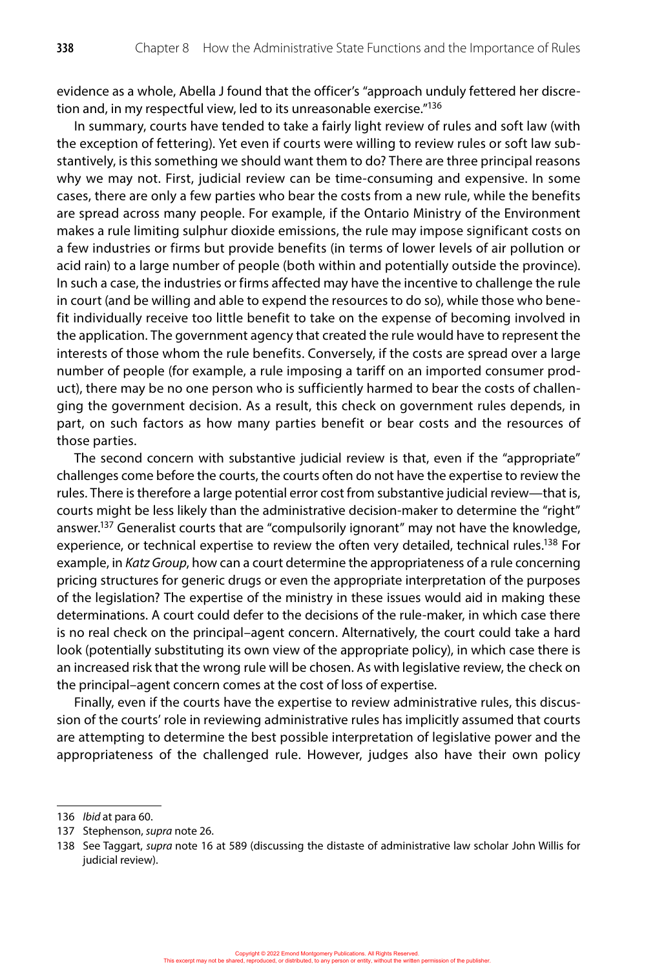evidence as a whole, Abella J found that the officer's "approach unduly fettered her discretion and, in my respectful view, led to its unreasonable exercise."136

In summary, courts have tended to take a fairly light review of rules and soft law (with the exception of fettering). Yet even if courts were willing to review rules or soft law substantively, is this something we should want them to do? There are three principal reasons why we may not. First, judicial review can be time-consuming and expensive. In some cases, there are only a few parties who bear the costs from a new rule, while the benefits are spread across many people. For example, if the Ontario Ministry of the Environment makes a rule limiting sulphur dioxide emissions, the rule may impose significant costs on a few industries or firms but provide benefits (in terms of lower levels of air pollution or acid rain) to a large number of people (both within and potentially outside the province). In such a case, the industries or firms affected may have the incentive to challenge the rule in court (and be willing and able to expend the resources to do so), while those who benefit individually receive too little benefit to take on the expense of becoming involved in the application. The government agency that created the rule would have to represent the interests of those whom the rule benefits. Conversely, if the costs are spread over a large number of people (for example, a rule imposing a tariff on an imported consumer product), there may be no one person who is sufficiently harmed to bear the costs of challenging the government decision. As a result, this check on government rules depends, in part, on such factors as how many parties benefit or bear costs and the resources of those parties.

The second concern with substantive judicial review is that, even if the "appropriate" challenges come before the courts, the courts often do not have the expertise to review the rules. There is therefore a large potential error cost from substantive judicial review—that is, courts might be less likely than the administrative decision-maker to determine the "right" answer.<sup>137</sup> Generalist courts that are "compulsorily ignorant" may not have the knowledge, experience, or technical expertise to review the often very detailed, technical rules.<sup>138</sup> For example, in *Katz Group*, how can a court determine the appropriateness of a rule concerning pricing structures for generic drugs or even the appropriate interpretation of the purposes of the legislation? The expertise of the ministry in these issues would aid in making these determinations. A court could defer to the decisions of the rule-maker, in which case there is no real check on the principal–agent concern. Alternatively, the court could take a hard look (potentially substituting its own view of the appropriate policy), in which case there is an increased risk that the wrong rule will be chosen. As with legislative review, the check on the principal–agent concern comes at the cost of loss of expertise.

Finally, even if the courts have the expertise to review administrative rules, this discussion of the courts' role in reviewing administrative rules has implicitly assumed that courts are attempting to determine the best possible interpretation of legislative power and the appropriateness of the challenged rule. However, judges also have their own policy

<sup>136</sup> *Ibid* at para 60.

<sup>137</sup> Stephenson, *supra* note 26.

<sup>138</sup> See Taggart, *supra* note 16 at 589 (discussing the distaste of administrative law scholar John Willis for judicial review).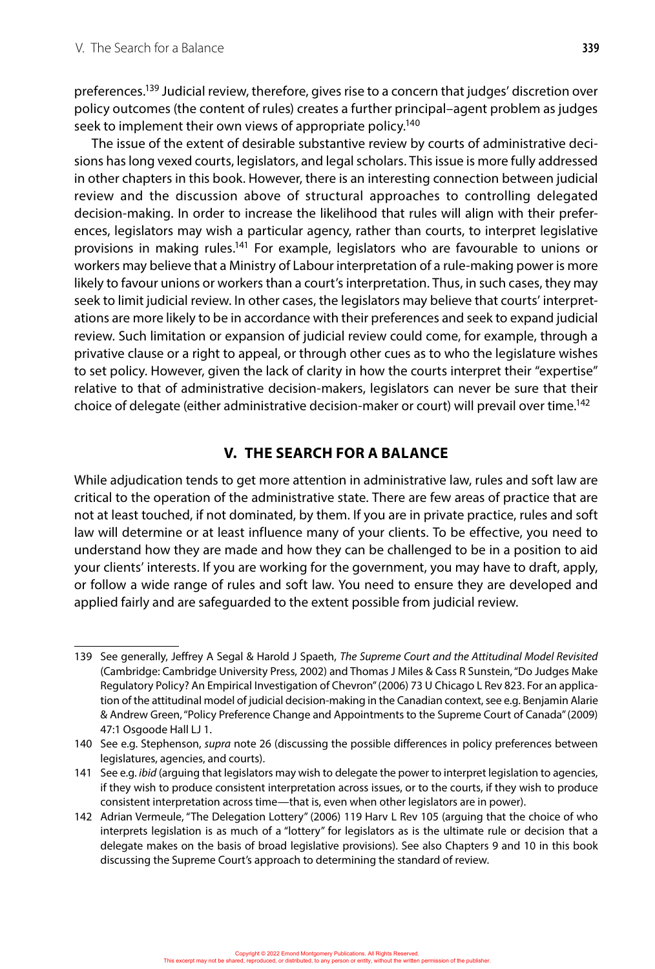preferences.139 Judicial review, therefore, gives rise to a concern that judges' discretion over policy outcomes (the content of rules) creates a further principal–agent problem as judges seek to implement their own views of appropriate policy.<sup>140</sup>

The issue of the extent of desirable substantive review by courts of administrative decisions has long vexed courts, legislators, and legal scholars. This issue is more fully addressed in other chapters in this book. However, there is an interesting connection between judicial review and the discussion above of structural approaches to controlling delegated decision-making. In order to increase the likelihood that rules will align with their preferences, legislators may wish a particular agency, rather than courts, to interpret legislative provisions in making rules.141 For example, legislators who are favourable to unions or workers may believe that a Ministry of Labour interpretation of a rule-making power is more likely to favour unions or workers than a court's interpretation. Thus, in such cases, they may seek to limit judicial review. In other cases, the legislators may believe that courts' interpretations are more likely to be in accordance with their preferences and seek to expand judicial review. Such limitation or expansion of judicial review could come, for example, through a privative clause or a right to appeal, or through other cues as to who the legislature wishes to set policy. However, given the lack of clarity in how the courts interpret their "expertise" relative to that of administrative decision-makers, legislators can never be sure that their choice of delegate (either administrative decision-maker or court) will prevail over time.<sup>142</sup>

# **V. THE SEARCH FOR A BALANCE**

While adjudication tends to get more attention in administrative law, rules and soft law are critical to the operation of the administrative state. There are few areas of practice that are not at least touched, if not dominated, by them. If you are in private practice, rules and soft law will determine or at least influence many of your clients. To be effective, you need to understand how they are made and how they can be challenged to be in a position to aid your clients' interests. If you are working for the government, you may have to draft, apply, or follow a wide range of rules and soft law. You need to ensure they are developed and applied fairly and are safeguarded to the extent possible from judicial review.

<sup>139</sup> See generally, Jeffrey A Segal & Harold J Spaeth, *The Supreme Court and the Attitudinal Model Revisited* (Cambridge: Cambridge University Press, 2002) and Thomas J Miles & Cass R Sunstein, "Do Judges Make Regulatory Policy? An Empirical Investigation of Chevron" (2006) 73 U Chicago L Rev 823. For an application of the attitudinal model of judicial decision-making in the Canadian context, see e.g. Benjamin Alarie & Andrew Green, "Policy Preference Change and Appointments to the Supreme Court of Canada" (2009) 47:1 Osgoode Hall LJ 1.

<sup>140</sup> See e.g. Stephenson, *supra* note 26 (discussing the possible differences in policy preferences between legislatures, agencies, and courts).

<sup>141</sup> See e.g. *ibid* (arguing that legislators may wish to delegate the power to interpret legislation to agencies, if they wish to produce consistent interpretation across issues, or to the courts, if they wish to produce consistent interpretation across time—that is, even when other legislators are in power).

<sup>142</sup> Adrian Vermeule, "The Delegation Lottery" (2006) 119 Harv L Rev 105 (arguing that the choice of who interprets legislation is as much of a "lottery" for legislators as is the ultimate rule or decision that a delegate makes on the basis of broad legislative provisions). See also Chapters 9 and 10 in this book discussing the Supreme Court's approach to determining the standard of review.